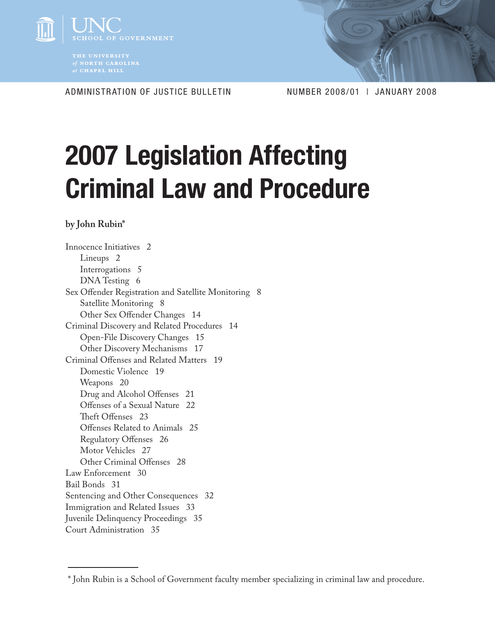

ADMINISTRATION OF JUSTICE BULLETIN Number 2008/01 | JANUARY 2008

# **2007 Legislation Affecting Criminal Law and Procedure**

**by John Rubin\***

Innocence Initiatives 2 Lineups 2 Interrogations 5 DNA Testing 6 Sex Offender Registration and Satellite Monitoring 8 Satellite Monitoring 8 Other Sex Offender Changes 14 Criminal Discovery and Related Procedures 14 Open-File Discovery Changes 15 Other Discovery Mechanisms 17 Criminal Offenses and Related Matters 19 Domestic Violence 19 Weapons 20 Drug and Alcohol Offenses 21 Offenses of a Sexual Nature 22 Theft Offenses 23 Offenses Related to Animals 25 Regulatory Offenses 26 Motor Vehicles 27 Other Criminal Offenses 28 Law Enforcement 30 Bail Bonds 31 Sentencing and Other Consequences 32 Immigration and Related Issues 33 Juvenile Delinquency Proceedings 35 Court Administration 35

<sup>\*</sup> John Rubin is a School of Government faculty member specializing in criminal law and procedure.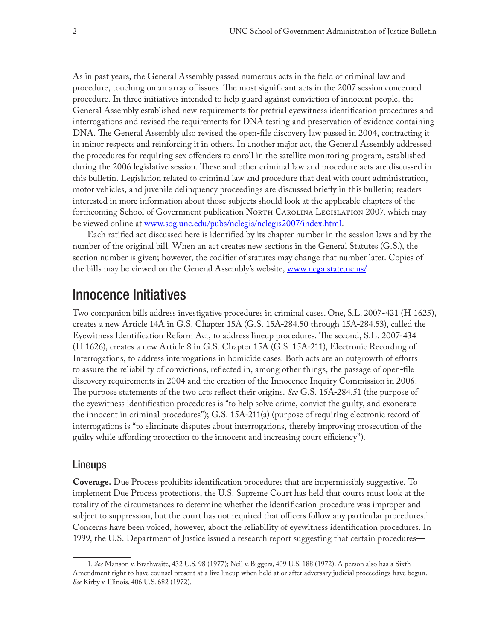As in past years, the General Assembly passed numerous acts in the field of criminal law and procedure, touching on an array of issues. The most significant acts in the 2007 session concerned procedure. In three initiatives intended to help guard against conviction of innocent people, the General Assembly established new requirements for pretrial eyewitness identification procedures and interrogations and revised the requirements for DNA testing and preservation of evidence containing DNA. The General Assembly also revised the open-file discovery law passed in 2004, contracting it in minor respects and reinforcing it in others. In another major act, the General Assembly addressed the procedures for requiring sex offenders to enroll in the satellite monitoring program, established during the 2006 legislative session. These and other criminal law and procedure acts are discussed in this bulletin. Legislation related to criminal law and procedure that deal with court administration, motor vehicles, and juvenile delinquency proceedings are discussed briefly in this bulletin; readers interested in more information about those subjects should look at the applicable chapters of the forthcoming School of Government publication North Carolina Legislation 2007, which may be viewed online at [www.sog.unc.edu/pubs/nclegis/nclegis2007/index.html.](http://www.sog.unc.edu/pubs/nclegis/nclegis2007/index.html)

Each ratified act discussed here is identified by its chapter number in the session laws and by the number of the original bill. When an act creates new sections in the General Statutes (G.S.), the section number is given; however, the codifier of statutes may change that number later. Copies of the bills may be viewed on the General Assembly's website, [www.ncga.state.nc.us/.](http://www.ncga.state.nc.us/)

## Innocence Initiatives

Two companion bills address investigative procedures in criminal cases. One, S.L. 2007-421 (H 1625), creates a new Article 14A in G.S. Chapter 15A (G.S. 15A-284.50 through 15A-284.53), called the Eyewitness Identification Reform Act, to address lineup procedures. The second, S.L. 2007-434 (H 1626), creates a new Article 8 in G.S. Chapter 15A (G.S. 15A-211), Electronic Recording of Interrogations, to address interrogations in homicide cases. Both acts are an outgrowth of efforts to assure the reliability of convictions, reflected in, among other things, the passage of open-file discovery requirements in 2004 and the creation of the Innocence Inquiry Commission in 2006. The purpose statements of the two acts reflect their origins. *See* G.S. 15A-284.51 (the purpose of the eyewitness identification procedures is "to help solve crime, convict the guilty, and exonerate the innocent in criminal procedures"); G.S. 15A-211(a) (purpose of requiring electronic record of interrogations is "to eliminate disputes about interrogations, thereby improving prosecution of the guilty while affording protection to the innocent and increasing court efficiency").

#### Lineups

**Coverage.** Due Process prohibits identification procedures that are impermissibly suggestive. To implement Due Process protections, the U.S. Supreme Court has held that courts must look at the totality of the circumstances to determine whether the identification procedure was improper and subject to suppression, but the court has not required that officers follow any particular procedures.<sup>1</sup> Concerns have been voiced, however, about the reliability of eyewitness identification procedures. In 1999, the U.S. Department of Justice issued a research report suggesting that certain procedures—

<sup>1.</sup> *See* Manson v. Brathwaite, 432 U.S. 98 (1977); Neil v. Biggers, 409 U.S. 188 (1972). A person also has a Sixth Amendment right to have counsel present at a live lineup when held at or after adversary judicial proceedings have begun. *See* Kirby v. Illinois, 406 U.S. 682 (1972).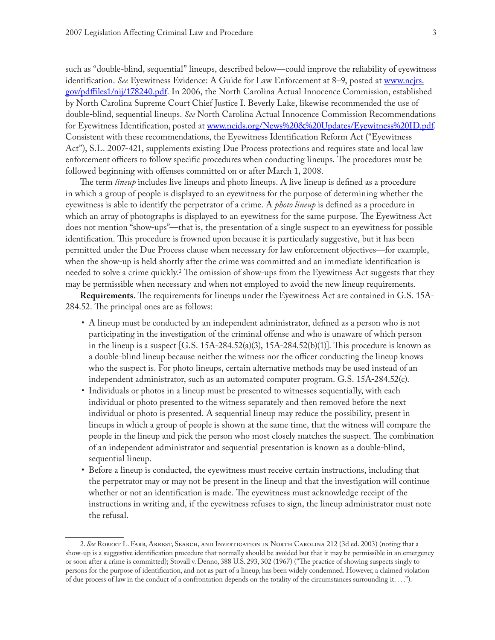such as "double-blind, sequential" lineups, described below—could improve the reliability of eyewitness identification. *See* Eyewitness Evidence: A Guide for Law Enforcement at 8–9, posted at [www.ncjrs.](http://www.ncjrs.gov/pdffiles1/nij/178240.pdf) [gov/pdffiles1/nij/178240.pdf.](http://www.ncjrs.gov/pdffiles1/nij/178240.pdf) In 2006, the North Carolina Actual Innocence Commission, established by North Carolina Supreme Court Chief Justice I. Beverly Lake, likewise recommended the use of double-blind, sequential lineups. *See* North Carolina Actual Innocence Commission Recommendations for Eyewitness Identification, posted at [www.ncids.org/News%20&%20Updates/Eyewitness%20ID.pdf.](http://www.ncids.org/News & Updates/Eyewitness ID.pdf) Consistent with these recommendations, the Eyewitness Identification Reform Act ("Eyewitness Act"), S.L. 2007-421, supplements existing Due Process protections and requires state and local law enforcement officers to follow specific procedures when conducting lineups. The procedures must be followed beginning with offenses committed on or after March 1, 2008.

The term *lineup* includes live lineups and photo lineups. A live lineup is defined as a procedure in which a group of people is displayed to an eyewitness for the purpose of determining whether the eyewitness is able to identify the perpetrator of a crime. A *photo lineup* is defined as a procedure in which an array of photographs is displayed to an eyewitness for the same purpose. The Eyewitness Act does not mention "show-ups"—that is, the presentation of a single suspect to an eyewitness for possible identification. This procedure is frowned upon because it is particularly suggestive, but it has been permitted under the Due Process clause when necessary for law enforcement objectives—for example, when the show-up is held shortly after the crime was committed and an immediate identification is needed to solve a crime quickly.2 The omission of show-ups from the Eyewitness Act suggests that they may be permissible when necessary and when not employed to avoid the new lineup requirements.

**Requirements.** The requirements for lineups under the Eyewitness Act are contained in G.S. 15A-284.52. The principal ones are as follows:

- • A lineup must be conducted by an independent administrator, defined as a person who is not participating in the investigation of the criminal offense and who is unaware of which person in the lineup is a suspect  $[G.S. 15A-284.52(a)(3), 15A-284.52(b)(1)]$ . This procedure is known as a double-blind lineup because neither the witness nor the officer conducting the lineup knows who the suspect is. For photo lineups, certain alternative methods may be used instead of an independent administrator, such as an automated computer program. G.S. 15A-284.52(c).
- • Individuals or photos in a lineup must be presented to witnesses sequentially, with each individual or photo presented to the witness separately and then removed before the next individual or photo is presented. A sequential lineup may reduce the possibility, present in lineups in which a group of people is shown at the same time, that the witness will compare the people in the lineup and pick the person who most closely matches the suspect. The combination of an independent administrator and sequential presentation is known as a double-blind, sequential lineup.
- • Before a lineup is conducted, the eyewitness must receive certain instructions, including that the perpetrator may or may not be present in the lineup and that the investigation will continue whether or not an identification is made. The eyewitness must acknowledge receipt of the instructions in writing and, if the eyewitness refuses to sign, the lineup administrator must note the refusal.

<sup>2.</sup> *See* Robert L. Farb, Arrest, Search, and Investigation in North Carolina 212 (3d ed. 2003) (noting that a show-up is a suggestive identification procedure that normally should be avoided but that it may be permissible in an emergency or soon after a crime is committed); Stovall v. Denno, 388 U.S. 293, 302 (1967) ("The practice of showing suspects singly to persons for the purpose of identification, and not as part of a lineup, has been widely condemned. However, a claimed violation of due process of law in the conduct of a confrontation depends on the totality of the circumstances surrounding it. . . .").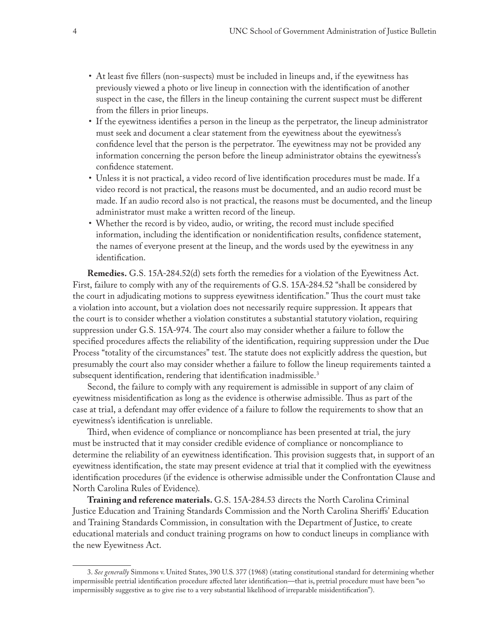- • At least five fillers (non-suspects) must be included in lineups and, if the eyewitness has previously viewed a photo or live lineup in connection with the identification of another suspect in the case, the fillers in the lineup containing the current suspect must be different from the fillers in prior lineups.
- • If the eyewitness identifies a person in the lineup as the perpetrator, the lineup administrator must seek and document a clear statement from the eyewitness about the eyewitness's confidence level that the person is the perpetrator. The eyewitness may not be provided any information concerning the person before the lineup administrator obtains the eyewitness's confidence statement.
- • Unless it is not practical, a video record of live identification procedures must be made. If a video record is not practical, the reasons must be documented, and an audio record must be made. If an audio record also is not practical, the reasons must be documented, and the lineup administrator must make a written record of the lineup.
- Whether the record is by video, audio, or writing, the record must include specified information, including the identification or nonidentification results, confidence statement, the names of everyone present at the lineup, and the words used by the eyewitness in any identification.

**Remedies.** G.S. 15A-284.52(d) sets forth the remedies for a violation of the Eyewitness Act. First, failure to comply with any of the requirements of G.S. 15A-284.52 "shall be considered by the court in adjudicating motions to suppress eyewitness identification." Thus the court must take a violation into account, but a violation does not necessarily require suppression. It appears that the court is to consider whether a violation constitutes a substantial statutory violation, requiring suppression under G.S. 15A-974. The court also may consider whether a failure to follow the specified procedures affects the reliability of the identification, requiring suppression under the Due Process "totality of the circumstances" test. The statute does not explicitly address the question, but presumably the court also may consider whether a failure to follow the lineup requirements tainted a subsequent identification, rendering that identification inadmissible.<sup>3</sup>

Second, the failure to comply with any requirement is admissible in support of any claim of eyewitness misidentification as long as the evidence is otherwise admissible. Thus as part of the case at trial, a defendant may offer evidence of a failure to follow the requirements to show that an eyewitness's identification is unreliable.

Third, when evidence of compliance or noncompliance has been presented at trial, the jury must be instructed that it may consider credible evidence of compliance or noncompliance to determine the reliability of an eyewitness identification. This provision suggests that, in support of an eyewitness identification, the state may present evidence at trial that it complied with the eyewitness identification procedures (if the evidence is otherwise admissible under the Confrontation Clause and North Carolina Rules of Evidence).

**Training and reference materials.** G.S. 15A-284.53 directs the North Carolina Criminal Justice Education and Training Standards Commission and the North Carolina Sheriffs' Education and Training Standards Commission, in consultation with the Department of Justice, to create educational materials and conduct training programs on how to conduct lineups in compliance with the new Eyewitness Act.

<sup>3.</sup> *See generally* Simmons v. United States, 390 U.S. 377 (1968) (stating constitutional standard for determining whether impermissible pretrial identification procedure affected later identification—that is, pretrial procedure must have been "so impermissibly suggestive as to give rise to a very substantial likelihood of irreparable misidentification").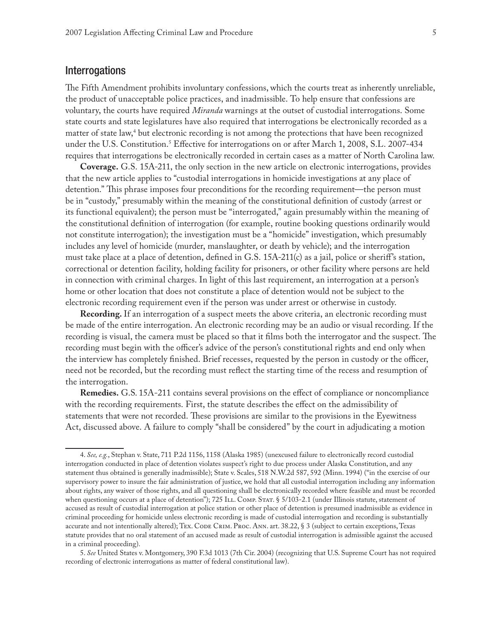#### **Interrogations**

The Fifth Amendment prohibits involuntary confessions, which the courts treat as inherently unreliable, the product of unacceptable police practices, and inadmissible. To help ensure that confessions are voluntary, the courts have required *Miranda* warnings at the outset of custodial interrogations. Some state courts and state legislatures have also required that interrogations be electronically recorded as a matter of state law,<sup>4</sup> but electronic recording is not among the protections that have been recognized under the U.S. Constitution.5 Effective for interrogations on or after March 1, 2008, S.L. 2007-434 requires that interrogations be electronically recorded in certain cases as a matter of North Carolina law.

**Coverage.** G.S. 15A-211, the only section in the new article on electronic interrogations, provides that the new article applies to "custodial interrogations in homicide investigations at any place of detention." This phrase imposes four preconditions for the recording requirement—the person must be in "custody," presumably within the meaning of the constitutional definition of custody (arrest or its functional equivalent); the person must be "interrogated," again presumably within the meaning of the constitutional definition of interrogation (for example, routine booking questions ordinarily would not constitute interrogation); the investigation must be a "homicide" investigation, which presumably includes any level of homicide (murder, manslaughter, or death by vehicle); and the interrogation must take place at a place of detention, defined in G.S. 15A-211(c) as a jail, police or sheriff's station, correctional or detention facility, holding facility for prisoners, or other facility where persons are held in connection with criminal charges. In light of this last requirement, an interrogation at a person's home or other location that does not constitute a place of detention would not be subject to the electronic recording requirement even if the person was under arrest or otherwise in custody.

**Recording.** If an interrogation of a suspect meets the above criteria, an electronic recording must be made of the entire interrogation. An electronic recording may be an audio or visual recording. If the recording is visual, the camera must be placed so that it films both the interrogator and the suspect. The recording must begin with the officer's advice of the person's constitutional rights and end only when the interview has completely finished. Brief recesses, requested by the person in custody or the officer, need not be recorded, but the recording must reflect the starting time of the recess and resumption of the interrogation.

**Remedies.** G.S. 15A-211 contains several provisions on the effect of compliance or noncompliance with the recording requirements. First, the statute describes the effect on the admissibility of statements that were not recorded. These provisions are similar to the provisions in the Eyewitness Act, discussed above. A failure to comply "shall be considered" by the court in adjudicating a motion

<sup>4.</sup> *See, e.g.*, Stephan v. State, 711 P.2d 1156, 1158 (Alaska 1985) (unexcused failure to electronically record custodial interrogation conducted in place of detention violates suspect's right to due process under Alaska Constitution, and any statement thus obtained is generally inadmissible); State v. Scales, 518 N.W.2d 587, 592 (Minn. 1994) ("in the exercise of our supervisory power to insure the fair administration of justice, we hold that all custodial interrogation including any information about rights, any waiver of those rights, and all questioning shall be electronically recorded where feasible and must be recorded when questioning occurs at a place of detention"); 725 ILL. COMP. STAT. § 5/103-2.1 (under Illinois statute, statement of accused as result of custodial interrogation at police station or other place of detention is presumed inadmissible as evidence in criminal proceeding for homicide unless electronic recording is made of custodial interrogation and recording is substantially accurate and not intentionally altered); TEX. CODE CRIM. PROC. ANN. art. 38.22, § 3 (subject to certain exceptions, Texas statute provides that no oral statement of an accused made as result of custodial interrogation is admissible against the accused in a criminal proceeding).

<sup>5.</sup> *See* United States v. Montgomery, 390 F.3d 1013 (7th Cir. 2004) (recognizing that U.S. Supreme Court has not required recording of electronic interrogations as matter of federal constitutional law).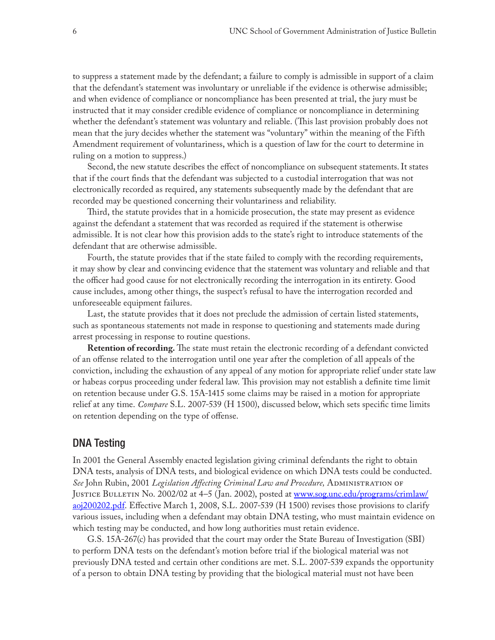to suppress a statement made by the defendant; a failure to comply is admissible in support of a claim that the defendant's statement was involuntary or unreliable if the evidence is otherwise admissible; and when evidence of compliance or noncompliance has been presented at trial, the jury must be instructed that it may consider credible evidence of compliance or noncompliance in determining whether the defendant's statement was voluntary and reliable. (This last provision probably does not mean that the jury decides whether the statement was "voluntary" within the meaning of the Fifth Amendment requirement of voluntariness, which is a question of law for the court to determine in ruling on a motion to suppress.)

Second, the new statute describes the effect of noncompliance on subsequent statements. It states that if the court finds that the defendant was subjected to a custodial interrogation that was not electronically recorded as required, any statements subsequently made by the defendant that are recorded may be questioned concerning their voluntariness and reliability.

Third, the statute provides that in a homicide prosecution, the state may present as evidence against the defendant a statement that was recorded as required if the statement is otherwise admissible. It is not clear how this provision adds to the state's right to introduce statements of the defendant that are otherwise admissible.

Fourth, the statute provides that if the state failed to comply with the recording requirements, it may show by clear and convincing evidence that the statement was voluntary and reliable and that the officer had good cause for not electronically recording the interrogation in its entirety. Good cause includes, among other things, the suspect's refusal to have the interrogation recorded and unforeseeable equipment failures.

Last, the statute provides that it does not preclude the admission of certain listed statements, such as spontaneous statements not made in response to questioning and statements made during arrest processing in response to routine questions.

**Retention of recording.** The state must retain the electronic recording of a defendant convicted of an offense related to the interrogation until one year after the completion of all appeals of the conviction, including the exhaustion of any appeal of any motion for appropriate relief under state law or habeas corpus proceeding under federal law. This provision may not establish a definite time limit on retention because under G.S. 15A-1415 some claims may be raised in a motion for appropriate relief at any time. *Compare* S.L. 2007-539 (H 1500), discussed below, which sets specific time limits on retention depending on the type of offense.

#### DNA Testing

In 2001 the General Assembly enacted legislation giving criminal defendants the right to obtain DNA tests, analysis of DNA tests, and biological evidence on which DNA tests could be conducted. *See* John Rubin, 2001 *Legislation Affecting Criminal Law and Procedure, ADMINISTRATION OF* Justice Bulletin No. 2002/02 at 4–5 (Jan. 2002), posted at [www.sog.unc.edu/programs/crimlaw/](http://www.sog.unc.edu/programs/crimlaw/aoj200202.pdf) [aoj200202.pdf](http://www.sog.unc.edu/programs/crimlaw/aoj200202.pdf). Effective March 1, 2008, S.L. 2007-539 (H 1500) revises those provisions to clarify various issues, including when a defendant may obtain DNA testing, who must maintain evidence on which testing may be conducted, and how long authorities must retain evidence.

G.S. 15A-267(c) has provided that the court may order the State Bureau of Investigation (SBI) to perform DNA tests on the defendant's motion before trial if the biological material was not previously DNA tested and certain other conditions are met. S.L. 2007-539 expands the opportunity of a person to obtain DNA testing by providing that the biological material must not have been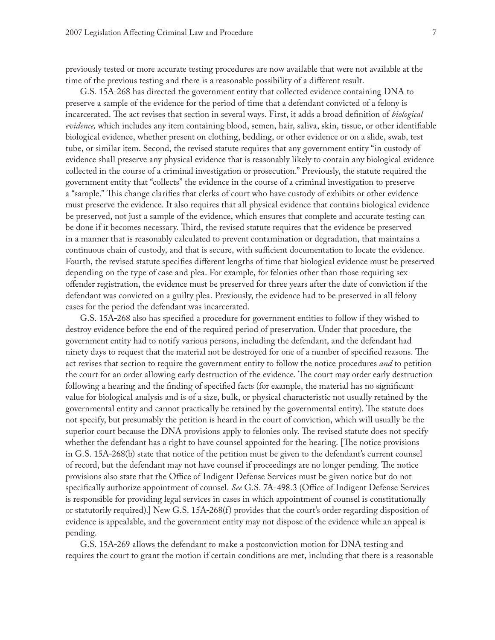previously tested or more accurate testing procedures are now available that were not available at the time of the previous testing and there is a reasonable possibility of a different result.

G.S. 15A-268 has directed the government entity that collected evidence containing DNA to preserve a sample of the evidence for the period of time that a defendant convicted of a felony is incarcerated. The act revises that section in several ways. First, it adds a broad definition of *biological evidence,* which includes any item containing blood, semen, hair, saliva, skin, tissue, or other identifiable biological evidence, whether present on clothing, bedding, or other evidence or on a slide, swab, test tube, or similar item. Second, the revised statute requires that any government entity "in custody of evidence shall preserve any physical evidence that is reasonably likely to contain any biological evidence collected in the course of a criminal investigation or prosecution." Previously, the statute required the government entity that "collects" the evidence in the course of a criminal investigation to preserve a "sample." This change clarifies that clerks of court who have custody of exhibits or other evidence must preserve the evidence. It also requires that all physical evidence that contains biological evidence be preserved, not just a sample of the evidence, which ensures that complete and accurate testing can be done if it becomes necessary. Third, the revised statute requires that the evidence be preserved in a manner that is reasonably calculated to prevent contamination or degradation, that maintains a continuous chain of custody, and that is secure, with sufficient documentation to locate the evidence. Fourth, the revised statute specifies different lengths of time that biological evidence must be preserved depending on the type of case and plea. For example, for felonies other than those requiring sex offender registration, the evidence must be preserved for three years after the date of conviction if the defendant was convicted on a guilty plea. Previously, the evidence had to be preserved in all felony cases for the period the defendant was incarcerated.

G.S. 15A-268 also has specified a procedure for government entities to follow if they wished to destroy evidence before the end of the required period of preservation. Under that procedure, the government entity had to notify various persons, including the defendant, and the defendant had ninety days to request that the material not be destroyed for one of a number of specified reasons. The act revises that section to require the government entity to follow the notice procedures *and* to petition the court for an order allowing early destruction of the evidence. The court may order early destruction following a hearing and the finding of specified facts (for example, the material has no significant value for biological analysis and is of a size, bulk, or physical characteristic not usually retained by the governmental entity and cannot practically be retained by the governmental entity). The statute does not specify, but presumably the petition is heard in the court of conviction, which will usually be the superior court because the DNA provisions apply to felonies only. The revised statute does not specify whether the defendant has a right to have counsel appointed for the hearing. [The notice provisions in G.S. 15A-268(b) state that notice of the petition must be given to the defendant's current counsel of record, but the defendant may not have counsel if proceedings are no longer pending. The notice provisions also state that the Office of Indigent Defense Services must be given notice but do not specifically authorize appointment of counsel. *See* G.S. 7A-498.3 (Office of Indigent Defense Services is responsible for providing legal services in cases in which appointment of counsel is constitutionally or statutorily required).] New G.S. 15A-268(f) provides that the court's order regarding disposition of evidence is appealable, and the government entity may not dispose of the evidence while an appeal is pending.

G.S. 15A-269 allows the defendant to make a postconviction motion for DNA testing and requires the court to grant the motion if certain conditions are met, including that there is a reasonable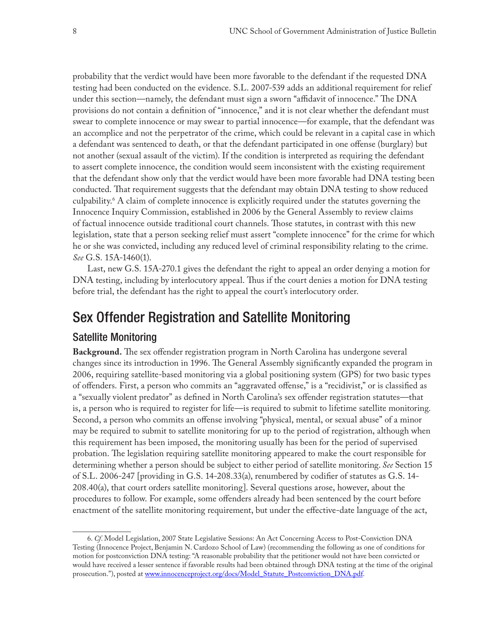probability that the verdict would have been more favorable to the defendant if the requested DNA testing had been conducted on the evidence. S.L. 2007-539 adds an additional requirement for relief under this section—namely, the defendant must sign a sworn "affidavit of innocence." The DNA provisions do not contain a definition of "innocence," and it is not clear whether the defendant must swear to complete innocence or may swear to partial innocence—for example, that the defendant was an accomplice and not the perpetrator of the crime, which could be relevant in a capital case in which a defendant was sentenced to death, or that the defendant participated in one offense (burglary) but not another (sexual assault of the victim). If the condition is interpreted as requiring the defendant to assert complete innocence, the condition would seem inconsistent with the existing requirement that the defendant show only that the verdict would have been more favorable had DNA testing been conducted. That requirement suggests that the defendant may obtain DNA testing to show reduced culpability.6 A claim of complete innocence is explicitly required under the statutes governing the Innocence Inquiry Commission, established in 2006 by the General Assembly to review claims of factual innocence outside traditional court channels. Those statutes, in contrast with this new legislation, state that a person seeking relief must assert "complete innocence" for the crime for which he or she was convicted, including any reduced level of criminal responsibility relating to the crime. *See* G.S. 15A-1460(1).

Last, new G.S. 15A-270.1 gives the defendant the right to appeal an order denying a motion for DNA testing, including by interlocutory appeal. Thus if the court denies a motion for DNA testing before trial, the defendant has the right to appeal the court's interlocutory order.

## Sex Offender Registration and Satellite Monitoring

#### Satellite Monitoring

**Background.** The sex offender registration program in North Carolina has undergone several changes since its introduction in 1996. The General Assembly significantly expanded the program in 2006, requiring satellite-based monitoring via a global positioning system (GPS) for two basic types of offenders. First, a person who commits an "aggravated offense," is a "recidivist," or is classified as a "sexually violent predator" as defined in North Carolina's sex offender registration statutes—that is, a person who is required to register for life—is required to submit to lifetime satellite monitoring. Second, a person who commits an offense involving "physical, mental, or sexual abuse" of a minor may be required to submit to satellite monitoring for up to the period of registration, although when this requirement has been imposed, the monitoring usually has been for the period of supervised probation. The legislation requiring satellite monitoring appeared to make the court responsible for determining whether a person should be subject to either period of satellite monitoring. *See* Section 15 of S.L. 2006-247 [providing in G.S. 14-208.33(a), renumbered by codifier of statutes as G.S. 14- 208.40(a), that court orders satellite monitoring]. Several questions arose, however, about the procedures to follow. For example, some offenders already had been sentenced by the court before enactment of the satellite monitoring requirement, but under the effective-date language of the act,

<sup>6.</sup> *Cf*. Model Legislation, 2007 State Legislative Sessions: An Act Concerning Access to Post-Conviction DNA Testing (Innocence Project, Benjamin N. Cardozo School of Law) (recommending the following as one of conditions for motion for postconviction DNA testing: "A reasonable probability that the petitioner would not have been convicted or would have received a lesser sentence if favorable results had been obtained through DNA testing at the time of the original prosecution."), posted at [www.innocenceproject.org/docs/Model\\_Statute\\_Postconviction\\_DNA.pdf.](http://www.innocenceproject.org/docs/Model_Statute_Postconviction_DNA.pdf)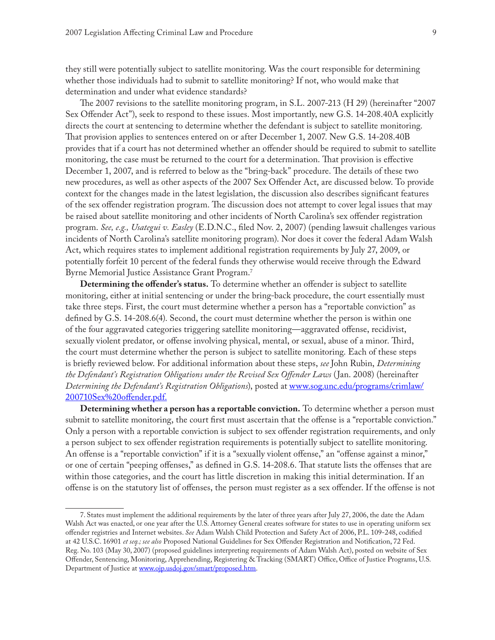they still were potentially subject to satellite monitoring. Was the court responsible for determining whether those individuals had to submit to satellite monitoring? If not, who would make that determination and under what evidence standards?

The 2007 revisions to the satellite monitoring program, in S.L. 2007-213 (H 29) (hereinafter "2007 Sex Offender Act"), seek to respond to these issues. Most importantly, new G.S. 14-208.40A explicitly directs the court at sentencing to determine whether the defendant is subject to satellite monitoring. That provision applies to sentences entered on or after December 1, 2007. New G.S. 14-208.40B provides that if a court has not determined whether an offender should be required to submit to satellite monitoring, the case must be returned to the court for a determination. That provision is effective December 1, 2007, and is referred to below as the "bring-back" procedure. The details of these two new procedures, as well as other aspects of the 2007 Sex Offender Act, are discussed below. To provide context for the changes made in the latest legislation, the discussion also describes significant features of the sex offender registration program. The discussion does not attempt to cover legal issues that may be raised about satellite monitoring and other incidents of North Carolina's sex offender registration program. *See, e.g., Usategui v. Easley* (E.D.N.C., filed Nov. 2, 2007) (pending lawsuit challenges various incidents of North Carolina's satellite monitoring program). Nor does it cover the federal Adam Walsh Act, which requires states to implement additional registration requirements by July 27, 2009, or potentially forfeit 10 percent of the federal funds they otherwise would receive through the Edward Byrne Memorial Justice Assistance Grant Program.7

**Determining the offender's status.** To determine whether an offender is subject to satellite monitoring, either at initial sentencing or under the bring-back procedure, the court essentially must take three steps. First, the court must determine whether a person has a "reportable conviction" as defined by G.S. 14-208.6(4). Second, the court must determine whether the person is within one of the four aggravated categories triggering satellite monitoring—aggravated offense, recidivist, sexually violent predator, or offense involving physical, mental, or sexual, abuse of a minor. Third, the court must determine whether the person is subject to satellite monitoring. Each of these steps is briefly reviewed below. For additional information about these steps, *see* John Rubin, *Determining the Defendant's Registration Obligations under the Revised Sex Offender Laws* (Jan. 2008) (hereinafter *Determining the Defendant's Registration Obligations*), posted at [www.sog.unc.edu/programs/crimlaw/](http://www.sog.unc.edu/programs/crimlaw/200710Sex%20offender.pdf) [200710Sex%20offender.pdf.](http://www.sog.unc.edu/programs/crimlaw/200710Sex%20offender.pdf)

**Determining whether a person has a reportable conviction.** To determine whether a person must submit to satellite monitoring, the court first must ascertain that the offense is a "reportable conviction." Only a person with a reportable conviction is subject to sex offender registration requirements, and only a person subject to sex offender registration requirements is potentially subject to satellite monitoring. An offense is a "reportable conviction" if it is a "sexually violent offense," an "offense against a minor," or one of certain "peeping offenses," as defined in G.S. 14-208.6. That statute lists the offenses that are within those categories, and the court has little discretion in making this initial determination. If an offense is on the statutory list of offenses, the person must register as a sex offender. If the offense is not

<sup>7.</sup> States must implement the additional requirements by the later of three years after July 27, 2006, the date the Adam Walsh Act was enacted, or one year after the U.S. Attorney General creates software for states to use in operating uniform sex offender registries and Internet websites. *See* Adam Walsh Child Protection and Safety Act of 2006, P.L. 109-248, codified at 42 U.S.C. 16901 *et seq.; see also* Proposed National Guidelines for Sex Offender Registration and Notification, 72 Fed. Reg. No. 103 (May 30, 2007) (proposed guidelines interpreting requirements of Adam Walsh Act), posted on website of Sex Offender, Sentencing, Monitoring, Apprehending, Registering & Tracking (SMART) Office, Office of Justice Programs, U.S. Department of Justice at [www.ojp.usdoj.gov/smart/proposed.htm.](http://www.ojp.usdoj.gov/smart/proposed.htm)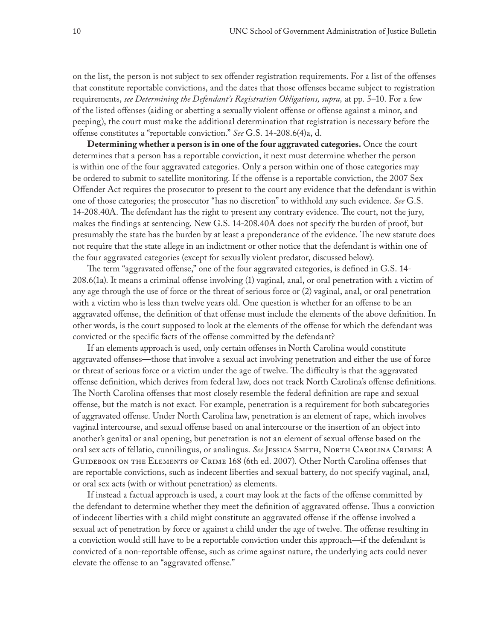on the list, the person is not subject to sex offender registration requirements. For a list of the offenses that constitute reportable convictions, and the dates that those offenses became subject to registration requirements, *see Determining the Defendant's Registration Obligations, supra,* at pp. 5–10. For a few of the listed offenses (aiding or abetting a sexually violent offense or offense against a minor, and peeping), the court must make the additional determination that registration is necessary before the offense constitutes a "reportable conviction." *See* G.S. 14-208.6(4)a, d.

**Determining whether a person is in one of the four aggravated categories.** Once the court determines that a person has a reportable conviction, it next must determine whether the person is within one of the four aggravated categories. Only a person within one of those categories may be ordered to submit to satellite monitoring. If the offense is a reportable conviction, the 2007 Sex Offender Act requires the prosecutor to present to the court any evidence that the defendant is within one of those categories; the prosecutor "has no discretion" to withhold any such evidence. *See* G.S. 14-208.40A. The defendant has the right to present any contrary evidence. The court, not the jury, makes the findings at sentencing. New G.S. 14-208.40A does not specify the burden of proof, but presumably the state has the burden by at least a preponderance of the evidence. The new statute does not require that the state allege in an indictment or other notice that the defendant is within one of the four aggravated categories (except for sexually violent predator, discussed below).

The term "aggravated offense," one of the four aggravated categories, is defined in G.S. 14- 208.6(1a). It means a criminal offense involving (1) vaginal, anal, or oral penetration with a victim of any age through the use of force or the threat of serious force or (2) vaginal, anal, or oral penetration with a victim who is less than twelve years old. One question is whether for an offense to be an aggravated offense, the definition of that offense must include the elements of the above definition. In other words, is the court supposed to look at the elements of the offense for which the defendant was convicted or the specific facts of the offense committed by the defendant?

If an elements approach is used, only certain offenses in North Carolina would constitute aggravated offenses—those that involve a sexual act involving penetration and either the use of force or threat of serious force or a victim under the age of twelve. The difficulty is that the aggravated offense definition, which derives from federal law, does not track North Carolina's offense definitions. The North Carolina offenses that most closely resemble the federal definition are rape and sexual offense, but the match is not exact. For example, penetration is a requirement for both subcategories of aggravated offense. Under North Carolina law, penetration is an element of rape, which involves vaginal intercourse, and sexual offense based on anal intercourse or the insertion of an object into another's genital or anal opening, but penetration is not an element of sexual offense based on the oral sex acts of fellatio, cunnilingus, or analingus. *See* Jessica Smith, North Carolina Crimes: A GUIDEBOOK ON THE ELEMENTS OF CRIME 168 (6th ed. 2007). Other North Carolina offenses that are reportable convictions, such as indecent liberties and sexual battery, do not specify vaginal, anal, or oral sex acts (with or without penetration) as elements.

If instead a factual approach is used, a court may look at the facts of the offense committed by the defendant to determine whether they meet the definition of aggravated offense. Thus a conviction of indecent liberties with a child might constitute an aggravated offense if the offense involved a sexual act of penetration by force or against a child under the age of twelve. The offense resulting in a conviction would still have to be a reportable conviction under this approach—if the defendant is convicted of a non-reportable offense, such as crime against nature, the underlying acts could never elevate the offense to an "aggravated offense."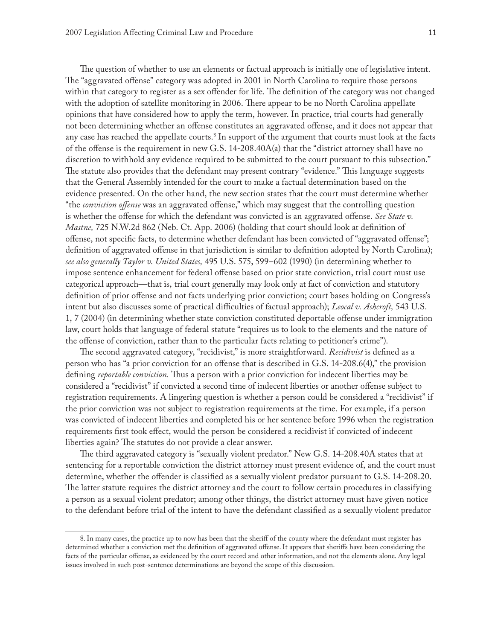The question of whether to use an elements or factual approach is initially one of legislative intent. The "aggravated offense" category was adopted in 2001 in North Carolina to require those persons within that category to register as a sex offender for life. The definition of the category was not changed with the adoption of satellite monitoring in 2006. There appear to be no North Carolina appellate opinions that have considered how to apply the term, however. In practice, trial courts had generally not been determining whether an offense constitutes an aggravated offense, and it does not appear that any case has reached the appellate courts.<sup>8</sup> In support of the argument that courts must look at the facts of the offense is the requirement in new G.S. 14-208.40A(a) that the "district attorney shall have no discretion to withhold any evidence required to be submitted to the court pursuant to this subsection." The statute also provides that the defendant may present contrary "evidence." This language suggests that the General Assembly intended for the court to make a factual determination based on the evidence presented. On the other hand, the new section states that the court must determine whether "the *conviction offense* was an aggravated offense," which may suggest that the controlling question is whether the offense for which the defendant was convicted is an aggravated offense. *See State v. Mastne,* 725 N.W.2d 862 (Neb. Ct. App. 2006) (holding that court should look at definition of offense, not specific facts, to determine whether defendant has been convicted of "aggravated offense"; definition of aggravated offense in that jurisdiction is similar to definition adopted by North Carolina); *see also generally Taylor v. United States,* 495 U.S. 575, 599–602 (1990) (in determining whether to impose sentence enhancement for federal offense based on prior state conviction, trial court must use categorical approach—that is, trial court generally may look only at fact of conviction and statutory definition of prior offense and not facts underlying prior conviction; court bases holding on Congress's intent but also discusses some of practical difficulties of factual approach); *Leocal v. Ashcroft,* 543 U.S. 1, 7 (2004) (in determining whether state conviction constituted deportable offense under immigration law, court holds that language of federal statute "requires us to look to the elements and the nature of the offense of conviction, rather than to the particular facts relating to petitioner's crime").

The second aggravated category, "recidivist," is more straightforward. *Recidivist* is defined as a person who has "a prior conviction for an offense that is described in G.S. 14-208.6(4)," the provision defining *reportable conviction.* Thus a person with a prior conviction for indecent liberties may be considered a "recidivist" if convicted a second time of indecent liberties or another offense subject to registration requirements. A lingering question is whether a person could be considered a "recidivist" if the prior conviction was not subject to registration requirements at the time. For example, if a person was convicted of indecent liberties and completed his or her sentence before 1996 when the registration requirements first took effect, would the person be considered a recidivist if convicted of indecent liberties again? The statutes do not provide a clear answer.

The third aggravated category is "sexually violent predator." New G.S. 14-208.40A states that at sentencing for a reportable conviction the district attorney must present evidence of, and the court must determine, whether the offender is classified as a sexually violent predator pursuant to G.S. 14-208.20. The latter statute requires the district attorney and the court to follow certain procedures in classifying a person as a sexual violent predator; among other things, the district attorney must have given notice to the defendant before trial of the intent to have the defendant classified as a sexually violent predator

<sup>8.</sup> In many cases, the practice up to now has been that the sheriff of the county where the defendant must register has determined whether a conviction met the definition of aggravated offense. It appears that sheriffs have been considering the facts of the particular offense, as evidenced by the court record and other information, and not the elements alone. Any legal issues involved in such post-sentence determinations are beyond the scope of this discussion.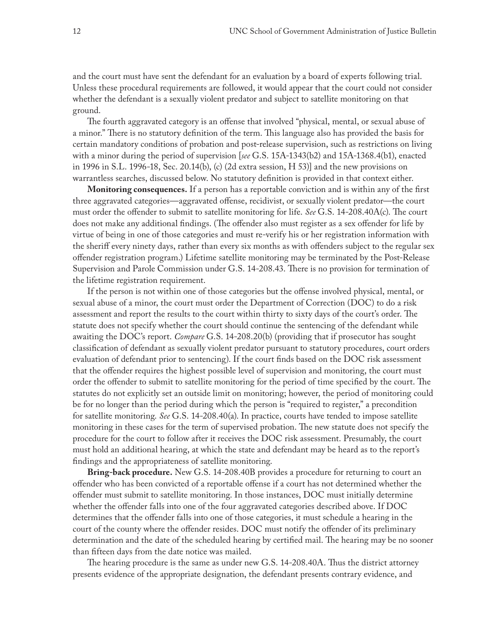and the court must have sent the defendant for an evaluation by a board of experts following trial. Unless these procedural requirements are followed, it would appear that the court could not consider whether the defendant is a sexually violent predator and subject to satellite monitoring on that ground.

The fourth aggravated category is an offense that involved "physical, mental, or sexual abuse of a minor." There is no statutory definition of the term. This language also has provided the basis for certain mandatory conditions of probation and post-release supervision, such as restrictions on living with a minor during the period of supervision [*see* G.S. 15A-1343(b2) and 15A-1368.4(b1), enacted in 1996 in S.L. 1996-18, Sec. 20.14(b), (c) (2d extra session, H 53)] and the new provisions on warrantless searches, discussed below. No statutory definition is provided in that context either.

**Monitoring consequences.** If a person has a reportable conviction and is within any of the first three aggravated categories—aggravated offense, recidivist, or sexually violent predator—the court must order the offender to submit to satellite monitoring for life. *See* G.S. 14-208.40A(c). The court does not make any additional findings. (The offender also must register as a sex offender for life by virtue of being in one of those categories and must re-verify his or her registration information with the sheriff every ninety days, rather than every six months as with offenders subject to the regular sex offender registration program.) Lifetime satellite monitoring may be terminated by the Post-Release Supervision and Parole Commission under G.S. 14-208.43. There is no provision for termination of the lifetime registration requirement.

If the person is not within one of those categories but the offense involved physical, mental, or sexual abuse of a minor, the court must order the Department of Correction (DOC) to do a risk assessment and report the results to the court within thirty to sixty days of the court's order. The statute does not specify whether the court should continue the sentencing of the defendant while awaiting the DOC's report. *Compare* G.S. 14-208.20(b) (providing that if prosecutor has sought classification of defendant as sexually violent predator pursuant to statutory procedures, court orders evaluation of defendant prior to sentencing). If the court finds based on the DOC risk assessment that the offender requires the highest possible level of supervision and monitoring, the court must order the offender to submit to satellite monitoring for the period of time specified by the court. The statutes do not explicitly set an outside limit on monitoring; however, the period of monitoring could be for no longer than the period during which the person is "required to register," a precondition for satellite monitoring. *See* G.S. 14-208.40(a). In practice, courts have tended to impose satellite monitoring in these cases for the term of supervised probation. The new statute does not specify the procedure for the court to follow after it receives the DOC risk assessment. Presumably, the court must hold an additional hearing, at which the state and defendant may be heard as to the report's findings and the appropriateness of satellite monitoring.

**Bring-back procedure.** New G.S. 14-208.40B provides a procedure for returning to court an offender who has been convicted of a reportable offense if a court has not determined whether the offender must submit to satellite monitoring. In those instances, DOC must initially determine whether the offender falls into one of the four aggravated categories described above. If DOC determines that the offender falls into one of those categories, it must schedule a hearing in the court of the county where the offender resides. DOC must notify the offender of its preliminary determination and the date of the scheduled hearing by certified mail. The hearing may be no sooner than fifteen days from the date notice was mailed.

The hearing procedure is the same as under new G.S. 14-208.40A. Thus the district attorney presents evidence of the appropriate designation, the defendant presents contrary evidence, and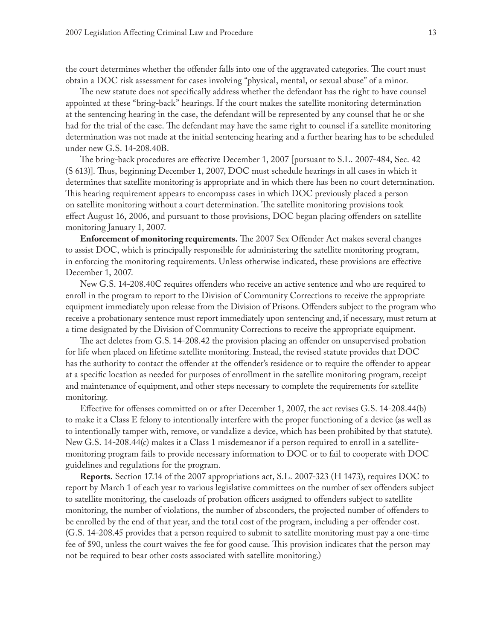the court determines whether the offender falls into one of the aggravated categories. The court must obtain a DOC risk assessment for cases involving "physical, mental, or sexual abuse" of a minor.

The new statute does not specifically address whether the defendant has the right to have counsel appointed at these "bring-back" hearings. If the court makes the satellite monitoring determination at the sentencing hearing in the case, the defendant will be represented by any counsel that he or she had for the trial of the case. The defendant may have the same right to counsel if a satellite monitoring determination was not made at the initial sentencing hearing and a further hearing has to be scheduled under new G.S. 14-208.40B.

The bring-back procedures are effective December 1, 2007 [pursuant to S.L. 2007-484, Sec. 42 (S 613)]. Thus, beginning December 1, 2007, DOC must schedule hearings in all cases in which it determines that satellite monitoring is appropriate and in which there has been no court determination. This hearing requirement appears to encompass cases in which DOC previously placed a person on satellite monitoring without a court determination. The satellite monitoring provisions took effect August 16, 2006, and pursuant to those provisions, DOC began placing offenders on satellite monitoring January 1, 2007.

**Enforcement of monitoring requirements.** The 2007 Sex Offender Act makes several changes to assist DOC, which is principally responsible for administering the satellite monitoring program, in enforcing the monitoring requirements. Unless otherwise indicated, these provisions are effective December 1, 2007.

New G.S. 14-208.40C requires offenders who receive an active sentence and who are required to enroll in the program to report to the Division of Community Corrections to receive the appropriate equipment immediately upon release from the Division of Prisons. Offenders subject to the program who receive a probationary sentence must report immediately upon sentencing and, if necessary, must return at a time designated by the Division of Community Corrections to receive the appropriate equipment.

The act deletes from G.S. 14-208.42 the provision placing an offender on unsupervised probation for life when placed on lifetime satellite monitoring. Instead, the revised statute provides that DOC has the authority to contact the offender at the offender's residence or to require the offender to appear at a specific location as needed for purposes of enrollment in the satellite monitoring program, receipt and maintenance of equipment, and other steps necessary to complete the requirements for satellite monitoring.

Effective for offenses committed on or after December 1, 2007, the act revises G.S. 14-208.44(b) to make it a Class E felony to intentionally interfere with the proper functioning of a device (as well as to intentionally tamper with, remove, or vandalize a device, which has been prohibited by that statute). New G.S. 14-208.44(c) makes it a Class 1 misdemeanor if a person required to enroll in a satellitemonitoring program fails to provide necessary information to DOC or to fail to cooperate with DOC guidelines and regulations for the program.

**Reports.** Section 17.14 of the 2007 appropriations act, S.L. 2007-323 (H 1473), requires DOC to report by March 1 of each year to various legislative committees on the number of sex offenders subject to satellite monitoring, the caseloads of probation officers assigned to offenders subject to satellite monitoring, the number of violations, the number of absconders, the projected number of offenders to be enrolled by the end of that year, and the total cost of the program, including a per-offender cost. (G.S. 14-208.45 provides that a person required to submit to satellite monitoring must pay a one-time fee of \$90, unless the court waives the fee for good cause. This provision indicates that the person may not be required to bear other costs associated with satellite monitoring.)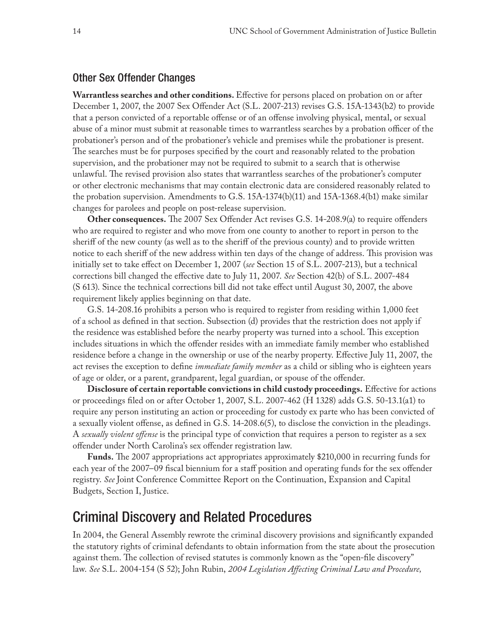#### Other Sex Offender Changes

**Warrantless searches and other conditions.** Effective for persons placed on probation on or after December 1, 2007, the 2007 Sex Offender Act (S.L. 2007-213) revises G.S. 15A-1343(b2) to provide that a person convicted of a reportable offense or of an offense involving physical, mental, or sexual abuse of a minor must submit at reasonable times to warrantless searches by a probation officer of the probationer's person and of the probationer's vehicle and premises while the probationer is present. The searches must be for purposes specified by the court and reasonably related to the probation supervision, and the probationer may not be required to submit to a search that is otherwise unlawful. The revised provision also states that warrantless searches of the probationer's computer or other electronic mechanisms that may contain electronic data are considered reasonably related to the probation supervision. Amendments to G.S. 15A-1374(b)(11) and 15A-1368.4(b1) make similar changes for parolees and people on post-release supervision.

**Other consequences.** The 2007 Sex Offender Act revises G.S. 14-208.9(a) to require offenders who are required to register and who move from one county to another to report in person to the sheriff of the new county (as well as to the sheriff of the previous county) and to provide written notice to each sheriff of the new address within ten days of the change of address. This provision was initially set to take effect on December 1, 2007 (*see* Section 15 of S.L. 2007-213), but a technical corrections bill changed the effective date to July 11, 2007. *See* Section 42(b) of S.L. 2007-484 (S 613). Since the technical corrections bill did not take effect until August 30, 2007, the above requirement likely applies beginning on that date.

G.S. 14-208.16 prohibits a person who is required to register from residing within 1,000 feet of a school as defined in that section. Subsection (d) provides that the restriction does not apply if the residence was established before the nearby property was turned into a school. This exception includes situations in which the offender resides with an immediate family member who established residence before a change in the ownership or use of the nearby property. Effective July 11, 2007, the act revises the exception to define *immediate family member* as a child or sibling who is eighteen years of age or older, or a parent, grandparent, legal guardian, or spouse of the offender.

**Disclosure of certain reportable convictions in child custody proceedings.** Effective for actions or proceedings filed on or after October 1, 2007, S.L. 2007-462 (H 1328) adds G.S. 50-13.1(a1) to require any person instituting an action or proceeding for custody ex parte who has been convicted of a sexually violent offense, as defined in G.S. 14-208.6(5), to disclose the conviction in the pleadings. A *sexually violent offense* is the principal type of conviction that requires a person to register as a sex offender under North Carolina's sex offender registration law.

**Funds.** The 2007 appropriations act appropriates approximately \$210,000 in recurring funds for each year of the 2007–09 fiscal biennium for a staff position and operating funds for the sex offender registry. *See* Joint Conference Committee Report on the Continuation, Expansion and Capital Budgets, Section I, Justice.

## Criminal Discovery and Related Procedures

In 2004, the General Assembly rewrote the criminal discovery provisions and significantly expanded the statutory rights of criminal defendants to obtain information from the state about the prosecution against them. The collection of revised statutes is commonly known as the "open-file discovery" law. *See* S.L. 2004-154 (S 52); John Rubin, *2004 Legislation Affecting Criminal Law and Procedure,*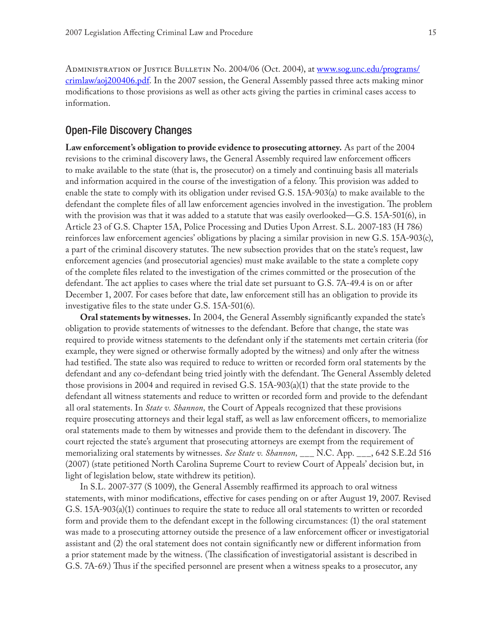ADMINISTRATION OF JUSTICE BULLETIN No. 2004/06 (Oct. 2004), at [www.sog.unc.edu/programs/](http://www.sog.unc.edu/programs/crimlaw/aoj200406.pdf) [crimlaw/aoj200406.pdf.](http://www.sog.unc.edu/programs/crimlaw/aoj200406.pdf) In the 2007 session, the General Assembly passed three acts making minor modifications to those provisions as well as other acts giving the parties in criminal cases access to information.

#### Open-File Discovery Changes

**Law enforcement's obligation to provide evidence to prosecuting attorney.** As part of the 2004 revisions to the criminal discovery laws, the General Assembly required law enforcement officers to make available to the state (that is, the prosecutor) on a timely and continuing basis all materials and information acquired in the course of the investigation of a felony. This provision was added to enable the state to comply with its obligation under revised G.S. 15A-903(a) to make available to the defendant the complete files of all law enforcement agencies involved in the investigation. The problem with the provision was that it was added to a statute that was easily overlooked—G.S. 15A-501(6), in Article 23 of G.S. Chapter 15A, Police Processing and Duties Upon Arrest. S.L. 2007-183 (H 786) reinforces law enforcement agencies' obligations by placing a similar provision in new G.S. 15A-903(c), a part of the criminal discovery statutes. The new subsection provides that on the state's request, law enforcement agencies (and prosecutorial agencies) must make available to the state a complete copy of the complete files related to the investigation of the crimes committed or the prosecution of the defendant. The act applies to cases where the trial date set pursuant to G.S. 7A-49.4 is on or after December 1, 2007. For cases before that date, law enforcement still has an obligation to provide its investigative files to the state under G.S. 15A-501(6).

**Oral statements by witnesses.** In 2004, the General Assembly significantly expanded the state's obligation to provide statements of witnesses to the defendant. Before that change, the state was required to provide witness statements to the defendant only if the statements met certain criteria (for example, they were signed or otherwise formally adopted by the witness) and only after the witness had testified. The state also was required to reduce to written or recorded form oral statements by the defendant and any co-defendant being tried jointly with the defendant. The General Assembly deleted those provisions in 2004 and required in revised G.S. 15A-903(a)(1) that the state provide to the defendant all witness statements and reduce to written or recorded form and provide to the defendant all oral statements. In *State v. Shannon,* the Court of Appeals recognized that these provisions require prosecuting attorneys and their legal staff, as well as law enforcement officers, to memorialize oral statements made to them by witnesses and provide them to the defendant in discovery. The court rejected the state's argument that prosecuting attorneys are exempt from the requirement of memorializing oral statements by witnesses. *See State v. Shannon,* \_\_\_ N.C. App. \_\_\_, 642 S.E.2d 516 (2007) (state petitioned North Carolina Supreme Court to review Court of Appeals' decision but, in light of legislation below, state withdrew its petition).

In S.L. 2007-377 (S 1009), the General Assembly reaffirmed its approach to oral witness statements, with minor modifications, effective for cases pending on or after August 19, 2007. Revised G.S. 15A-903(a)(1) continues to require the state to reduce all oral statements to written or recorded form and provide them to the defendant except in the following circumstances: (1) the oral statement was made to a prosecuting attorney outside the presence of a law enforcement officer or investigatorial assistant and (2) the oral statement does not contain significantly new or different information from a prior statement made by the witness. (The classification of investigatorial assistant is described in G.S. 7A-69.) Thus if the specified personnel are present when a witness speaks to a prosecutor, any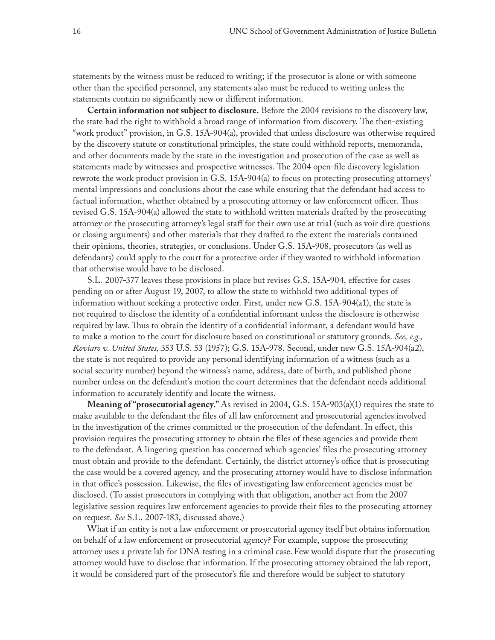statements by the witness must be reduced to writing; if the prosecutor is alone or with someone other than the specified personnel, any statements also must be reduced to writing unless the statements contain no significantly new or different information.

**Certain information not subject to disclosure.** Before the 2004 revisions to the discovery law, the state had the right to withhold a broad range of information from discovery. The then-existing "work product" provision, in G.S. 15A-904(a), provided that unless disclosure was otherwise required by the discovery statute or constitutional principles, the state could withhold reports, memoranda, and other documents made by the state in the investigation and prosecution of the case as well as statements made by witnesses and prospective witnesses. The 2004 open-file discovery legislation rewrote the work product provision in G.S. 15A-904(a) to focus on protecting prosecuting attorneys' mental impressions and conclusions about the case while ensuring that the defendant had access to factual information, whether obtained by a prosecuting attorney or law enforcement officer. Thus revised G.S. 15A-904(a) allowed the state to withhold written materials drafted by the prosecuting attorney or the prosecuting attorney's legal staff for their own use at trial (such as voir dire questions or closing arguments) and other materials that they drafted to the extent the materials contained their opinions, theories, strategies, or conclusions. Under G.S. 15A-908, prosecutors (as well as defendants) could apply to the court for a protective order if they wanted to withhold information that otherwise would have to be disclosed.

S.L. 2007-377 leaves these provisions in place but revises G.S. 15A-904, effective for cases pending on or after August 19, 2007, to allow the state to withhold two additional types of information without seeking a protective order. First, under new G.S. 15A-904(a1), the state is not required to disclose the identity of a confidential informant unless the disclosure is otherwise required by law. Thus to obtain the identity of a confidential informant, a defendant would have to make a motion to the court for disclosure based on constitutional or statutory grounds. *See, e.g., Roviaro v. United States,* 353 U.S. 53 (1957); G.S. 15A-978. Second, under new G.S. 15A-904(a2), the state is not required to provide any personal identifying information of a witness (such as a social security number) beyond the witness's name, address, date of birth, and published phone number unless on the defendant's motion the court determines that the defendant needs additional information to accurately identify and locate the witness.

**Meaning of "prosecutorial agency."** As revised in 2004, G.S. 15A-903(a)(1) requires the state to make available to the defendant the files of all law enforcement and prosecutorial agencies involved in the investigation of the crimes committed or the prosecution of the defendant. In effect, this provision requires the prosecuting attorney to obtain the files of these agencies and provide them to the defendant. A lingering question has concerned which agencies' files the prosecuting attorney must obtain and provide to the defendant. Certainly, the district attorney's office that is prosecuting the case would be a covered agency, and the prosecuting attorney would have to disclose information in that office's possession. Likewise, the files of investigating law enforcement agencies must be disclosed. (To assist prosecutors in complying with that obligation, another act from the 2007 legislative session requires law enforcement agencies to provide their files to the prosecuting attorney on request. *See* S.L. 2007-183, discussed above.)

What if an entity is not a law enforcement or prosecutorial agency itself but obtains information on behalf of a law enforcement or prosecutorial agency? For example, suppose the prosecuting attorney uses a private lab for DNA testing in a criminal case. Few would dispute that the prosecuting attorney would have to disclose that information. If the prosecuting attorney obtained the lab report, it would be considered part of the prosecutor's file and therefore would be subject to statutory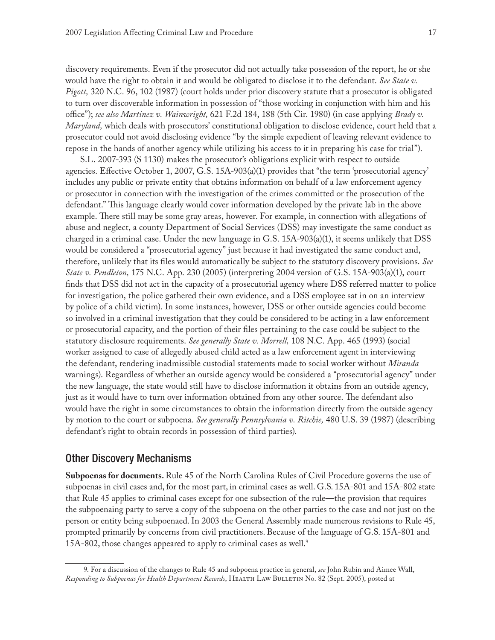discovery requirements. Even if the prosecutor did not actually take possession of the report, he or she would have the right to obtain it and would be obligated to disclose it to the defendant. *See State v. Pigott,* 320 N.C. 96, 102 (1987) (court holds under prior discovery statute that a prosecutor is obligated to turn over discoverable information in possession of "those working in conjunction with him and his office"); *see also Martinez v. Wainwright,* 621 F.2d 184, 188 (5th Cir. 1980) (in case applying *Brady v. Maryland,* which deals with prosecutors' constitutional obligation to disclose evidence, court held that a prosecutor could not avoid disclosing evidence "by the simple expedient of leaving relevant evidence to repose in the hands of another agency while utilizing his access to it in preparing his case for trial").

S.L. 2007-393 (S 1130) makes the prosecutor's obligations explicit with respect to outside agencies. Effective October 1, 2007, G.S. 15A-903(a)(1) provides that "the term 'prosecutorial agency' includes any public or private entity that obtains information on behalf of a law enforcement agency or prosecutor in connection with the investigation of the crimes committed or the prosecution of the defendant." This language clearly would cover information developed by the private lab in the above example. There still may be some gray areas, however. For example, in connection with allegations of abuse and neglect, a county Department of Social Services (DSS) may investigate the same conduct as charged in a criminal case. Under the new language in G.S. 15A-903(a)(1), it seems unlikely that DSS would be considered a "prosecutorial agency" just because it had investigated the same conduct and, therefore, unlikely that its files would automatically be subject to the statutory discovery provisions. *See State v. Pendleton,* 175 N.C. App. 230 (2005) (interpreting 2004 version of G.S. 15A-903(a)(1), court finds that DSS did not act in the capacity of a prosecutorial agency where DSS referred matter to police for investigation, the police gathered their own evidence, and a DSS employee sat in on an interview by police of a child victim). In some instances, however, DSS or other outside agencies could become so involved in a criminal investigation that they could be considered to be acting in a law enforcement or prosecutorial capacity, and the portion of their files pertaining to the case could be subject to the statutory disclosure requirements. *See generally State v. Morrell,* 108 N.C. App. 465 (1993) (social worker assigned to case of allegedly abused child acted as a law enforcement agent in interviewing the defendant, rendering inadmissible custodial statements made to social worker without *Miranda* warnings). Regardless of whether an outside agency would be considered a "prosecutorial agency" under the new language, the state would still have to disclose information it obtains from an outside agency, just as it would have to turn over information obtained from any other source. The defendant also would have the right in some circumstances to obtain the information directly from the outside agency by motion to the court or subpoena. *See generally Pennsylvania v. Ritchie,* 480 U.S. 39 (1987) (describing defendant's right to obtain records in possession of third parties).

#### Other Discovery Mechanisms

**Subpoenas for documents.** Rule 45 of the North Carolina Rules of Civil Procedure governs the use of subpoenas in civil cases and, for the most part, in criminal cases as well. G.S. 15A-801 and 15A-802 state that Rule 45 applies to criminal cases except for one subsection of the rule—the provision that requires the subpoenaing party to serve a copy of the subpoena on the other parties to the case and not just on the person or entity being subpoenaed. In 2003 the General Assembly made numerous revisions to Rule 45, prompted primarily by concerns from civil practitioners. Because of the language of G.S. 15A-801 and 15A-802, those changes appeared to apply to criminal cases as well.<sup>9</sup>

<sup>9.</sup> For a discussion of the changes to Rule 45 and subpoena practice in general, *see* John Rubin and Aimee Wall, *Responding to Subpoenas for Health Department Records*, Health Law Bulletin No. 82 (Sept. 2005), posted at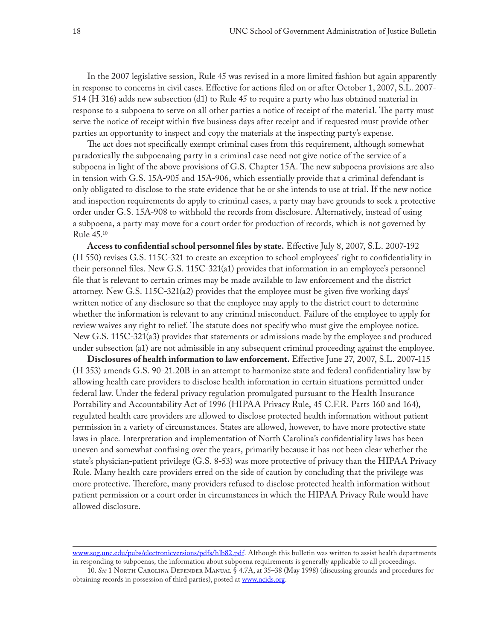In the 2007 legislative session, Rule 45 was revised in a more limited fashion but again apparently in response to concerns in civil cases. Effective for actions filed on or after October 1, 2007, S.L. 2007- 514 (H 316) adds new subsection (d1) to Rule 45 to require a party who has obtained material in response to a subpoena to serve on all other parties a notice of receipt of the material. The party must serve the notice of receipt within five business days after receipt and if requested must provide other parties an opportunity to inspect and copy the materials at the inspecting party's expense.

The act does not specifically exempt criminal cases from this requirement, although somewhat paradoxically the subpoenaing party in a criminal case need not give notice of the service of a subpoena in light of the above provisions of G.S. Chapter 15A. The new subpoena provisions are also in tension with G.S. 15A-905 and 15A-906, which essentially provide that a criminal defendant is only obligated to disclose to the state evidence that he or she intends to use at trial. If the new notice and inspection requirements do apply to criminal cases, a party may have grounds to seek a protective order under G.S. 15A-908 to withhold the records from disclosure. Alternatively, instead of using a subpoena, a party may move for a court order for production of records, which is not governed by Rule 45.10

**Access to confidential school personnel files by state.** Effective July 8, 2007, S.L. 2007-192 (H 550) revises G.S. 115C-321 to create an exception to school employees' right to confidentiality in their personnel files. New G.S. 115C-321(a1) provides that information in an employee's personnel file that is relevant to certain crimes may be made available to law enforcement and the district attorney. New G.S. 115C-321(a2) provides that the employee must be given five working days' written notice of any disclosure so that the employee may apply to the district court to determine whether the information is relevant to any criminal misconduct. Failure of the employee to apply for review waives any right to relief. The statute does not specify who must give the employee notice. New G.S. 115C-321(a3) provides that statements or admissions made by the employee and produced under subsection (a1) are not admissible in any subsequent criminal proceeding against the employee.

**Disclosures of health information to law enforcement.** Effective June 27, 2007, S.L. 2007-115 (H 353) amends G.S. 90-21.20B in an attempt to harmonize state and federal confidentiality law by allowing health care providers to disclose health information in certain situations permitted under federal law. Under the federal privacy regulation promulgated pursuant to the Health Insurance Portability and Accountability Act of 1996 (HIPAA Privacy Rule, 45 C.F.R. Parts 160 and 164), regulated health care providers are allowed to disclose protected health information without patient permission in a variety of circumstances. States are allowed, however, to have more protective state laws in place. Interpretation and implementation of North Carolina's confidentiality laws has been uneven and somewhat confusing over the years, primarily because it has not been clear whether the state's physician-patient privilege (G.S. 8-53) was more protective of privacy than the HIPAA Privacy Rule. Many health care providers erred on the side of caution by concluding that the privilege was more protective. Therefore, many providers refused to disclose protected health information without patient permission or a court order in circumstances in which the HIPAA Privacy Rule would have allowed disclosure.

[www.sog.unc.edu/pubs/electronicversions/pdfs/hlb82.pdf](http://www.sog.unc.edu/pubs/electronicversions/pdfs/hlb82.pdf). Although this bulletin was written to assist health departments in responding to subpoenas, the information about subpoena requirements is generally applicable to all proceedings.

<sup>10.</sup> *See* 1 North Carolina Defender Manual § 4.7A, at 35–38 (May 1998) (discussing grounds and procedures for obtaining records in possession of third parties), posted at [www.ncids.org.](http://www.ncids.org)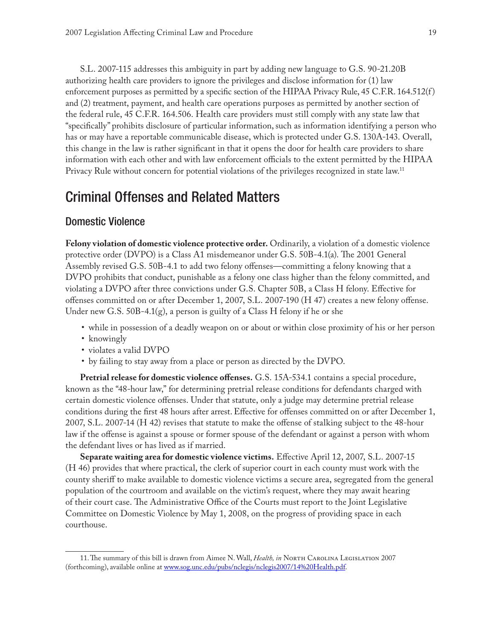S.L. 2007-115 addresses this ambiguity in part by adding new language to G.S. 90-21.20B authorizing health care providers to ignore the privileges and disclose information for (1) law enforcement purposes as permitted by a specific section of the HIPAA Privacy Rule, 45 C.F.R. 164.512(f) and (2) treatment, payment, and health care operations purposes as permitted by another section of the federal rule, 45 C.F.R. 164.506. Health care providers must still comply with any state law that "specifically" prohibits disclosure of particular information, such as information identifying a person who has or may have a reportable communicable disease, which is protected under G.S. 130A-143. Overall, this change in the law is rather significant in that it opens the door for health care providers to share information with each other and with law enforcement officials to the extent permitted by the HIPAA Privacy Rule without concern for potential violations of the privileges recognized in state law.<sup>11</sup>

## Criminal Offenses and Related Matters

#### Domestic Violence

**Felony violation of domestic violence protective order.** Ordinarily, a violation of a domestic violence protective order (DVPO) is a Class A1 misdemeanor under G.S. 50B-4.1(a). The 2001 General Assembly revised G.S. 50B-4.1 to add two felony offenses—committing a felony knowing that a DVPO prohibits that conduct, punishable as a felony one class higher than the felony committed, and violating a DVPO after three convictions under G.S. Chapter 50B, a Class H felony. Effective for offenses committed on or after December 1, 2007, S.L. 2007-190 (H 47) creates a new felony offense. Under new G.S. 50B-4.1 $(g)$ , a person is guilty of a Class H felony if he or she

- while in possession of a deadly weapon on or about or within close proximity of his or her person
- knowingly
- violates a valid DVPO
- • by failing to stay away from a place or person as directed by the DVPO.

**Pretrial release for domestic violence offenses.** G.S. 15A-534.1 contains a special procedure, known as the "48-hour law," for determining pretrial release conditions for defendants charged with certain domestic violence offenses. Under that statute, only a judge may determine pretrial release conditions during the first 48 hours after arrest. Effective for offenses committed on or after December 1, 2007, S.L. 2007-14 (H 42) revises that statute to make the offense of stalking subject to the 48-hour law if the offense is against a spouse or former spouse of the defendant or against a person with whom the defendant lives or has lived as if married.

**Separate waiting area for domestic violence victims.** Effective April 12, 2007, S.L. 2007-15 (H 46) provides that where practical, the clerk of superior court in each county must work with the county sheriff to make available to domestic violence victims a secure area, segregated from the general population of the courtroom and available on the victim's request, where they may await hearing of their court case. The Administrative Office of the Courts must report to the Joint Legislative Committee on Domestic Violence by May 1, 2008, on the progress of providing space in each courthouse.

<sup>11.</sup> The summary of this bill is drawn from Aimee N. Wall, *Health, in* North Carolina Legislation 2007 (forthcoming), available online at [www.sog.unc.edu/pubs/nclegis/nclegis2007/14%20Health.pdf](http://www.sog.unc.edu/pubs/nclegis/nclegis2007/14%20Health.pdf).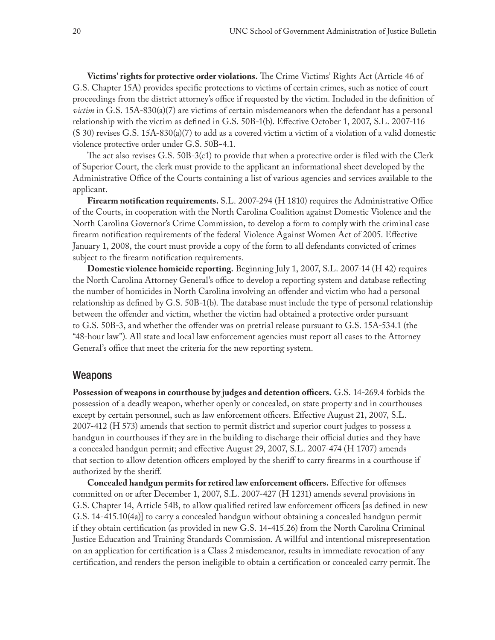**Victims' rights for protective order violations.** The Crime Victims' Rights Act (Article 46 of G.S. Chapter 15A) provides specific protections to victims of certain crimes, such as notice of court proceedings from the district attorney's office if requested by the victim. Included in the definition of *victim* in G.S. 15A-830(a)(7) are victims of certain misdemeanors when the defendant has a personal relationship with the victim as defined in G.S. 50B-1(b). Effective October 1, 2007, S.L. 2007-116 (S 30) revises G.S. 15A-830(a)(7) to add as a covered victim a victim of a violation of a valid domestic violence protective order under G.S. 50B-4.1.

The act also revises G.S. 50B-3(c1) to provide that when a protective order is filed with the Clerk of Superior Court, the clerk must provide to the applicant an informational sheet developed by the Administrative Office of the Courts containing a list of various agencies and services available to the applicant.

**Firearm notification requirements.** S.L. 2007-294 (H 1810) requires the Administrative Office of the Courts, in cooperation with the North Carolina Coalition against Domestic Violence and the North Carolina Governor's Crime Commission, to develop a form to comply with the criminal case firearm notification requirements of the federal Violence Against Women Act of 2005. Effective January 1, 2008, the court must provide a copy of the form to all defendants convicted of crimes subject to the firearm notification requirements.

**Domestic violence homicide reporting.** Beginning July 1, 2007, S.L. 2007-14 (H 42) requires the North Carolina Attorney General's office to develop a reporting system and database reflecting the number of homicides in North Carolina involving an offender and victim who had a personal relationship as defined by G.S. 50B-1(b). The database must include the type of personal relationship between the offender and victim, whether the victim had obtained a protective order pursuant to G.S. 50B-3, and whether the offender was on pretrial release pursuant to G.S. 15A-534.1 (the "48-hour law"). All state and local law enforcement agencies must report all cases to the Attorney General's office that meet the criteria for the new reporting system.

#### Weapons

**Possession of weapons in courthouse by judges and detention officers.** G.S. 14-269.4 forbids the possession of a deadly weapon, whether openly or concealed, on state property and in courthouses except by certain personnel, such as law enforcement officers. Effective August 21, 2007, S.L. 2007-412 (H 573) amends that section to permit district and superior court judges to possess a handgun in courthouses if they are in the building to discharge their official duties and they have a concealed handgun permit; and effective August 29, 2007, S.L. 2007-474 (H 1707) amends that section to allow detention officers employed by the sheriff to carry firearms in a courthouse if authorized by the sheriff.

**Concealed handgun permits for retired law enforcement officers.** Effective for offenses committed on or after December 1, 2007, S.L. 2007-427 (H 1231) amends several provisions in G.S. Chapter 14, Article 54B, to allow qualified retired law enforcement officers [as defined in new G.S. 14-415.10(4a)] to carry a concealed handgun without obtaining a concealed handgun permit if they obtain certification (as provided in new G.S. 14-415.26) from the North Carolina Criminal Justice Education and Training Standards Commission. A willful and intentional misrepresentation on an application for certification is a Class 2 misdemeanor, results in immediate revocation of any certification, and renders the person ineligible to obtain a certification or concealed carry permit. The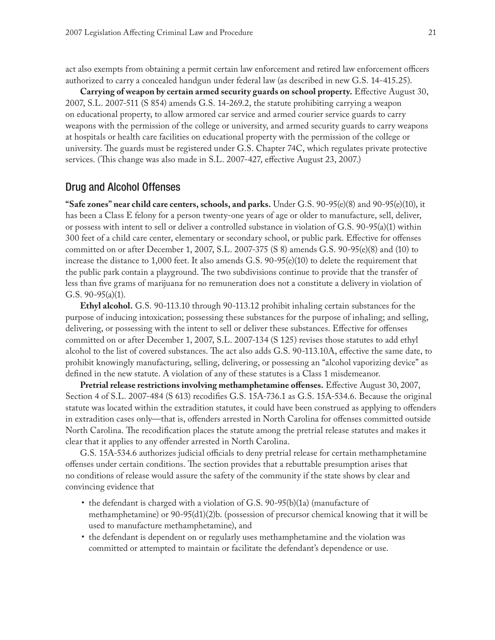act also exempts from obtaining a permit certain law enforcement and retired law enforcement officers authorized to carry a concealed handgun under federal law (as described in new G.S. 14-415.25).

**Carrying of weapon by certain armed security guards on school property.** Effective August 30, 2007, S.L. 2007-511 (S 854) amends G.S. 14-269.2, the statute prohibiting carrying a weapon on educational property, to allow armored car service and armed courier service guards to carry weapons with the permission of the college or university, and armed security guards to carry weapons at hospitals or health care facilities on educational property with the permission of the college or university. The guards must be registered under G.S. Chapter 74C, which regulates private protective services. (This change was also made in S.L. 2007-427, effective August 23, 2007.)

#### Drug and Alcohol Offenses

**"Safe zones" near child care centers, schools, and parks.** Under G.S. 90-95(e)(8) and 90-95(e)(10), it has been a Class E felony for a person twenty-one years of age or older to manufacture, sell, deliver, or possess with intent to sell or deliver a controlled substance in violation of G.S. 90-95(a)(1) within 300 feet of a child care center, elementary or secondary school, or public park. Effective for offenses committed on or after December 1, 2007, S.L. 2007-375 (S 8) amends G.S. 90-95(e)(8) and (10) to increase the distance to  $1,000$  feet. It also amends G.S.  $90-95(e)(10)$  to delete the requirement that the public park contain a playground. The two subdivisions continue to provide that the transfer of less than five grams of marijuana for no remuneration does not a constitute a delivery in violation of G.S. 90-95(a)(1).

**Ethyl alcohol.** G.S. 90-113.10 through 90-113.12 prohibit inhaling certain substances for the purpose of inducing intoxication; possessing these substances for the purpose of inhaling; and selling, delivering, or possessing with the intent to sell or deliver these substances. Effective for offenses committed on or after December 1, 2007, S.L. 2007-134 (S 125) revises those statutes to add ethyl alcohol to the list of covered substances. The act also adds G.S. 90-113.10A, effective the same date, to prohibit knowingly manufacturing, selling, delivering, or possessing an "alcohol vaporizing device" as defined in the new statute. A violation of any of these statutes is a Class 1 misdemeanor.

**Pretrial release restrictions involving methamphetamine offenses.** Effective August 30, 2007, Section 4 of S.L. 2007-484 (S 613) recodifies G.S. 15A-736.1 as G.S. 15A-534.6. Because the original statute was located within the extradition statutes, it could have been construed as applying to offenders in extradition cases only—that is, offenders arrested in North Carolina for offenses committed outside North Carolina. The recodification places the statute among the pretrial release statutes and makes it clear that it applies to any offender arrested in North Carolina.

G.S. 15A-534.6 authorizes judicial officials to deny pretrial release for certain methamphetamine offenses under certain conditions. The section provides that a rebuttable presumption arises that no conditions of release would assure the safety of the community if the state shows by clear and convincing evidence that

- the defendant is charged with a violation of G.S.  $90-95(b)(1a)$  (manufacture of methamphetamine) or 90-95(d1)(2)b. (possession of precursor chemical knowing that it will be used to manufacture methamphetamine), and
- the defendant is dependent on or regularly uses methamphetamine and the violation was committed or attempted to maintain or facilitate the defendant's dependence or use.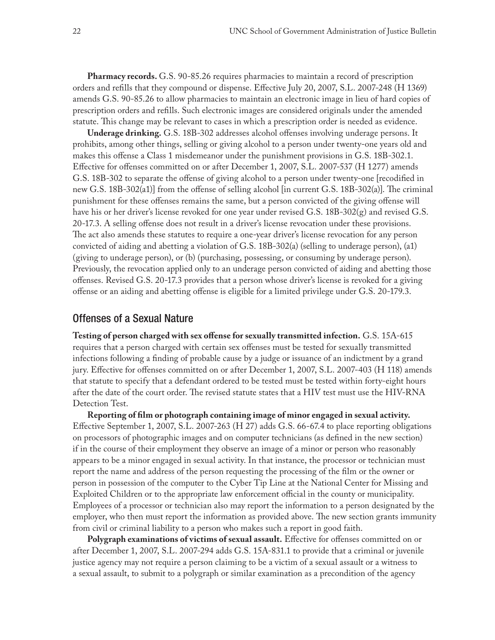**Pharmacy records.** G.S. 90-85.26 requires pharmacies to maintain a record of prescription orders and refills that they compound or dispense. Effective July 20, 2007, S.L. 2007-248 (H 1369) amends G.S. 90-85.26 to allow pharmacies to maintain an electronic image in lieu of hard copies of prescription orders and refills. Such electronic images are considered originals under the amended statute. This change may be relevant to cases in which a prescription order is needed as evidence.

**Underage drinking.** G.S. 18B-302 addresses alcohol offenses involving underage persons. It prohibits, among other things, selling or giving alcohol to a person under twenty-one years old and makes this offense a Class 1 misdemeanor under the punishment provisions in G.S. 18B-302.1. Effective for offenses committed on or after December 1, 2007, S.L. 2007-537 (H 1277) amends G.S. 18B-302 to separate the offense of giving alcohol to a person under twenty-one [recodified in new G.S. 18B-302(a1)] from the offense of selling alcohol [in current G.S. 18B-302(a)]. The criminal punishment for these offenses remains the same, but a person convicted of the giving offense will have his or her driver's license revoked for one year under revised G.S. 18B-302(g) and revised G.S. 20-17.3. A selling offense does not result in a driver's license revocation under these provisions. The act also amends these statutes to require a one-year driver's license revocation for any person convicted of aiding and abetting a violation of G.S. 18B-302(a) (selling to underage person), (a1) (giving to underage person), or (b) (purchasing, possessing, or consuming by underage person). Previously, the revocation applied only to an underage person convicted of aiding and abetting those offenses. Revised G.S. 20-17.3 provides that a person whose driver's license is revoked for a giving offense or an aiding and abetting offense is eligible for a limited privilege under G.S. 20-179.3.

#### Offenses of a Sexual Nature

**Testing of person charged with sex offense for sexually transmitted infection.** G.S. 15A-615 requires that a person charged with certain sex offenses must be tested for sexually transmitted infections following a finding of probable cause by a judge or issuance of an indictment by a grand jury. Effective for offenses committed on or after December 1, 2007, S.L. 2007-403 (H 118) amends that statute to specify that a defendant ordered to be tested must be tested within forty-eight hours after the date of the court order. The revised statute states that a HIV test must use the HIV-RNA Detection Test.

**Reporting of film or photograph containing image of minor engaged in sexual activity.** Effective September 1, 2007, S.L. 2007-263 (H 27) adds G.S. 66-67.4 to place reporting obligations on processors of photographic images and on computer technicians (as defined in the new section) if in the course of their employment they observe an image of a minor or person who reasonably appears to be a minor engaged in sexual activity. In that instance, the processor or technician must report the name and address of the person requesting the processing of the film or the owner or person in possession of the computer to the Cyber Tip Line at the National Center for Missing and Exploited Children or to the appropriate law enforcement official in the county or municipality. Employees of a processor or technician also may report the information to a person designated by the employer, who then must report the information as provided above. The new section grants immunity from civil or criminal liability to a person who makes such a report in good faith.

**Polygraph examinations of victims of sexual assault.** Effective for offenses committed on or after December 1, 2007, S.L. 2007-294 adds G.S. 15A-831.1 to provide that a criminal or juvenile justice agency may not require a person claiming to be a victim of a sexual assault or a witness to a sexual assault, to submit to a polygraph or similar examination as a precondition of the agency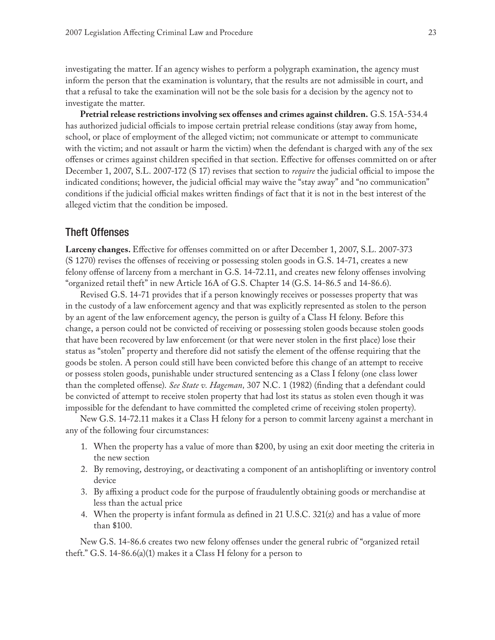investigating the matter. If an agency wishes to perform a polygraph examination, the agency must inform the person that the examination is voluntary, that the results are not admissible in court, and that a refusal to take the examination will not be the sole basis for a decision by the agency not to investigate the matter.

**Pretrial release restrictions involving sex offenses and crimes against children.** G.S. 15A-534.4 has authorized judicial officials to impose certain pretrial release conditions (stay away from home, school, or place of employment of the alleged victim; not communicate or attempt to communicate with the victim; and not assault or harm the victim) when the defendant is charged with any of the sex offenses or crimes against children specified in that section. Effective for offenses committed on or after December 1, 2007, S.L. 2007-172 (S 17) revises that section to *require* the judicial official to impose the indicated conditions; however, the judicial official may waive the "stay away" and "no communication" conditions if the judicial official makes written findings of fact that it is not in the best interest of the alleged victim that the condition be imposed.

#### Theft Offenses

**Larceny changes.** Effective for offenses committed on or after December 1, 2007, S.L. 2007-373 (S 1270) revises the offenses of receiving or possessing stolen goods in G.S. 14-71, creates a new felony offense of larceny from a merchant in G.S. 14-72.11, and creates new felony offenses involving "organized retail theft" in new Article 16A of G.S. Chapter 14 (G.S. 14-86.5 and 14-86.6).

Revised G.S. 14-71 provides that if a person knowingly receives or possesses property that was in the custody of a law enforcement agency and that was explicitly represented as stolen to the person by an agent of the law enforcement agency, the person is guilty of a Class H felony. Before this change, a person could not be convicted of receiving or possessing stolen goods because stolen goods that have been recovered by law enforcement (or that were never stolen in the first place) lose their status as "stolen" property and therefore did not satisfy the element of the offense requiring that the goods be stolen. A person could still have been convicted before this change of an attempt to receive or possess stolen goods, punishable under structured sentencing as a Class I felony (one class lower than the completed offense). *See State v. Hageman,* 307 N.C. 1 (1982) (finding that a defendant could be convicted of attempt to receive stolen property that had lost its status as stolen even though it was impossible for the defendant to have committed the completed crime of receiving stolen property).

New G.S. 14-72.11 makes it a Class H felony for a person to commit larceny against a merchant in any of the following four circumstances:

- 1. When the property has a value of more than \$200, by using an exit door meeting the criteria in the new section
- 2. By removing, destroying, or deactivating a component of an antishoplifting or inventory control device
- 3. By affixing a product code for the purpose of fraudulently obtaining goods or merchandise at less than the actual price
- 4. When the property is infant formula as defined in 21 U.S.C. 321(z) and has a value of more than \$100.

New G.S. 14-86.6 creates two new felony offenses under the general rubric of "organized retail theft." G.S. 14-86.6(a)(1) makes it a Class H felony for a person to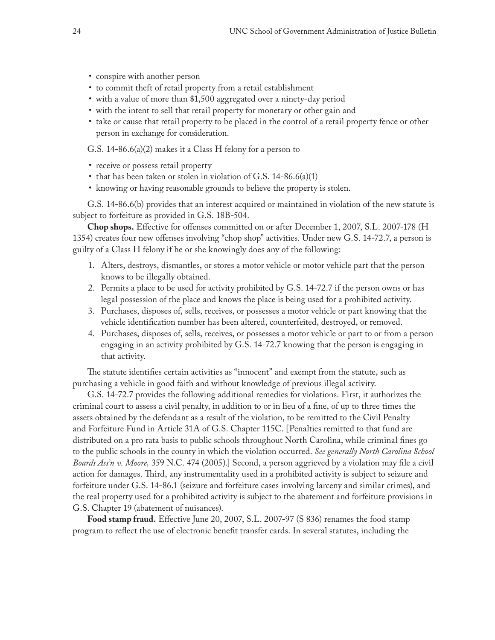- conspire with another person
- • to commit theft of retail property from a retail establishment
- with a value of more than \$1,500 aggregated over a ninety-day period
- with the intent to sell that retail property for monetary or other gain and
- take or cause that retail property to be placed in the control of a retail property fence or other person in exchange for consideration.

G.S. 14-86.6(a)(2) makes it a Class H felony for a person to

- receive or possess retail property
- that has been taken or stolen in violation of G.S. 14-86.6(a)(1)
- knowing or having reasonable grounds to believe the property is stolen.

G.S. 14-86.6(b) provides that an interest acquired or maintained in violation of the new statute is subject to forfeiture as provided in G.S. 18B-504.

**Chop shops.** Effective for offenses committed on or after December 1, 2007, S.L. 2007-178 (H 1354) creates four new offenses involving "chop shop" activities. Under new G.S. 14-72.7, a person is guilty of a Class H felony if he or she knowingly does any of the following:

- 1. Alters, destroys, dismantles, or stores a motor vehicle or motor vehicle part that the person knows to be illegally obtained.
- 2. Permits a place to be used for activity prohibited by G.S. 14-72.7 if the person owns or has legal possession of the place and knows the place is being used for a prohibited activity.
- 3. Purchases, disposes of, sells, receives, or possesses a motor vehicle or part knowing that the vehicle identification number has been altered, counterfeited, destroyed, or removed.
- 4. Purchases, disposes of, sells, receives, or possesses a motor vehicle or part to or from a person engaging in an activity prohibited by G.S. 14-72.7 knowing that the person is engaging in that activity.

The statute identifies certain activities as "innocent" and exempt from the statute, such as purchasing a vehicle in good faith and without knowledge of previous illegal activity.

G.S. 14-72.7 provides the following additional remedies for violations. First, it authorizes the criminal court to assess a civil penalty, in addition to or in lieu of a fine, of up to three times the assets obtained by the defendant as a result of the violation, to be remitted to the Civil Penalty and Forfeiture Fund in Article 31A of G.S. Chapter 115C. [Penalties remitted to that fund are distributed on a pro rata basis to public schools throughout North Carolina, while criminal fines go to the public schools in the county in which the violation occurred. *See generally North Carolina School Boards Ass'n v. Moore,* 359 N.C. 474 (2005).] Second, a person aggrieved by a violation may file a civil action for damages. Third, any instrumentality used in a prohibited activity is subject to seizure and forfeiture under G.S. 14-86.1 (seizure and forfeiture cases involving larceny and similar crimes), and the real property used for a prohibited activity is subject to the abatement and forfeiture provisions in G.S. Chapter 19 (abatement of nuisances).

**Food stamp fraud.** Effective June 20, 2007, S.L. 2007-97 (S 836) renames the food stamp program to reflect the use of electronic benefit transfer cards. In several statutes, including the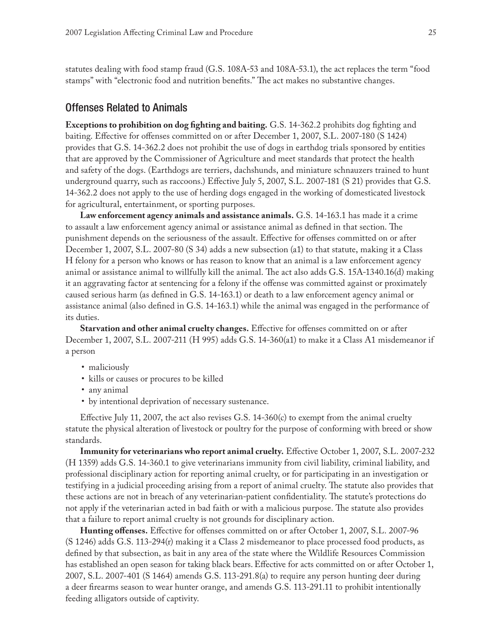statutes dealing with food stamp fraud (G.S. 108A-53 and 108A-53.1), the act replaces the term "food stamps" with "electronic food and nutrition benefits." The act makes no substantive changes.

#### Offenses Related to Animals

**Exceptions to prohibition on dog fighting and baiting.** G.S. 14-362.2 prohibits dog fighting and baiting. Effective for offenses committed on or after December 1, 2007, S.L. 2007-180 (S 1424) provides that G.S. 14-362.2 does not prohibit the use of dogs in earthdog trials sponsored by entities that are approved by the Commissioner of Agriculture and meet standards that protect the health and safety of the dogs. (Earthdogs are terriers, dachshunds, and miniature schnauzers trained to hunt underground quarry, such as raccoons.) Effective July 5, 2007, S.L. 2007-181 (S 21) provides that G.S. 14-362.2 does not apply to the use of herding dogs engaged in the working of domesticated livestock for agricultural, entertainment, or sporting purposes.

**Law enforcement agency animals and assistance animals.** G.S. 14-163.1 has made it a crime to assault a law enforcement agency animal or assistance animal as defined in that section. The punishment depends on the seriousness of the assault. Effective for offenses committed on or after December 1, 2007, S.L. 2007-80 (S 34) adds a new subsection (a1) to that statute, making it a Class H felony for a person who knows or has reason to know that an animal is a law enforcement agency animal or assistance animal to willfully kill the animal. The act also adds G.S. 15A-1340.16(d) making it an aggravating factor at sentencing for a felony if the offense was committed against or proximately caused serious harm (as defined in G.S. 14-163.1) or death to a law enforcement agency animal or assistance animal (also defined in G.S. 14-163.1) while the animal was engaged in the performance of its duties.

**Starvation and other animal cruelty changes.** Effective for offenses committed on or after December 1, 2007, S.L. 2007-211 (H 995) adds G.S. 14-360(a1) to make it a Class A1 misdemeanor if a person

- maliciously
- • kills or causes or procures to be killed
- any animal
- by intentional deprivation of necessary sustenance.

Effective July 11, 2007, the act also revises G.S. 14-360(c) to exempt from the animal cruelty statute the physical alteration of livestock or poultry for the purpose of conforming with breed or show standards.

**Immunity for veterinarians who report animal cruelty.** Effective October 1, 2007, S.L. 2007-232 (H 1359) adds G.S. 14-360.1 to give veterinarians immunity from civil liability, criminal liability, and professional disciplinary action for reporting animal cruelty, or for participating in an investigation or testifying in a judicial proceeding arising from a report of animal cruelty. The statute also provides that these actions are not in breach of any veterinarian-patient confidentiality. The statute's protections do not apply if the veterinarian acted in bad faith or with a malicious purpose. The statute also provides that a failure to report animal cruelty is not grounds for disciplinary action.

**Hunting offenses.** Effective for offenses committed on or after October 1, 2007, S.L. 2007-96 (S 1246) adds G.S. 113-294(r) making it a Class 2 misdemeanor to place processed food products, as defined by that subsection, as bait in any area of the state where the Wildlife Resources Commission has established an open season for taking black bears. Effective for acts committed on or after October 1, 2007, S.L. 2007-401 (S 1464) amends G.S. 113-291.8(a) to require any person hunting deer during a deer firearms season to wear hunter orange, and amends G.S. 113-291.11 to prohibit intentionally feeding alligators outside of captivity.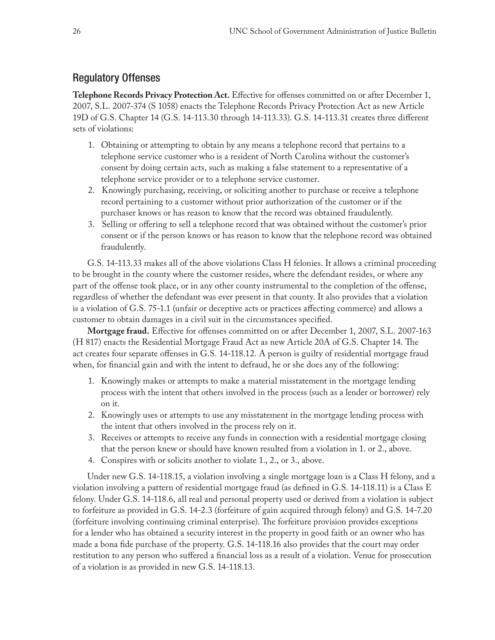#### Regulatory Offenses

**Telephone Records Privacy Protection Act.** Effective for offenses committed on or after December 1, 2007, S.L. 2007-374 (S 1058) enacts the Telephone Records Privacy Protection Act as new Article 19D of G.S. Chapter 14 (G.S. 14-113.30 through 14-113.33). G.S. 14-113.31 creates three different sets of violations:

- 1. Obtaining or attempting to obtain by any means a telephone record that pertains to a telephone service customer who is a resident of North Carolina without the customer's consent by doing certain acts, such as making a false statement to a representative of a telephone service provider or to a telephone service customer.
- 2. Knowingly purchasing, receiving, or soliciting another to purchase or receive a telephone record pertaining to a customer without prior authorization of the customer or if the purchaser knows or has reason to know that the record was obtained fraudulently.
- 3. Selling or offering to sell a telephone record that was obtained without the customer's prior consent or if the person knows or has reason to know that the telephone record was obtained fraudulently.

G.S. 14-113.33 makes all of the above violations Class H felonies. It allows a criminal proceeding to be brought in the county where the customer resides, where the defendant resides, or where any part of the offense took place, or in any other county instrumental to the completion of the offense, regardless of whether the defendant was ever present in that county. It also provides that a violation is a violation of G.S. 75-1.1 (unfair or deceptive acts or practices affecting commerce) and allows a customer to obtain damages in a civil suit in the circumstances specified.

**Mortgage fraud.** Effective for offenses committed on or after December 1, 2007, S.L. 2007-163 (H 817) enacts the Residential Mortgage Fraud Act as new Article 20A of G.S. Chapter 14. The act creates four separate offenses in G.S. 14-118.12. A person is guilty of residential mortgage fraud when, for financial gain and with the intent to defraud, he or she does any of the following:

- 1. Knowingly makes or attempts to make a material misstatement in the mortgage lending process with the intent that others involved in the process (such as a lender or borrower) rely on it.
- 2. Knowingly uses or attempts to use any misstatement in the mortgage lending process with the intent that others involved in the process rely on it.
- 3. Receives or attempts to receive any funds in connection with a residential mortgage closing that the person knew or should have known resulted from a violation in 1. or 2., above.
- 4. Conspires with or solicits another to violate 1., 2., or 3., above.

Under new G.S. 14-118.15, a violation involving a single mortgage loan is a Class H felony, and a violation involving a pattern of residential mortgage fraud (as defined in G.S. 14-118.11) is a Class E felony. Under G.S. 14-118.6, all real and personal property used or derived from a violation is subject to forfeiture as provided in G.S. 14-2.3 (forfeiture of gain acquired through felony) and G.S. 14-7.20 (forfeiture involving continuing criminal enterprise). The forfeiture provision provides exceptions for a lender who has obtained a security interest in the property in good faith or an owner who has made a bona fide purchase of the property. G.S. 14-118.16 also provides that the court may order restitution to any person who suffered a financial loss as a result of a violation. Venue for prosecution of a violation is as provided in new G.S. 14-118.13.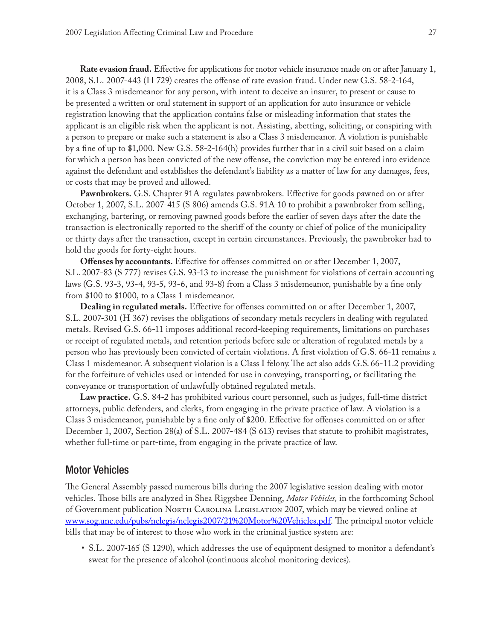**Rate evasion fraud.** Effective for applications for motor vehicle insurance made on or after January 1, 2008, S.L. 2007-443 (H 729) creates the offense of rate evasion fraud. Under new G.S. 58-2-164, it is a Class 3 misdemeanor for any person, with intent to deceive an insurer, to present or cause to be presented a written or oral statement in support of an application for auto insurance or vehicle registration knowing that the application contains false or misleading information that states the applicant is an eligible risk when the applicant is not. Assisting, abetting, soliciting, or conspiring with a person to prepare or make such a statement is also a Class 3 misdemeanor. A violation is punishable by a fine of up to \$1,000. New G.S. 58-2-164(h) provides further that in a civil suit based on a claim for which a person has been convicted of the new offense, the conviction may be entered into evidence against the defendant and establishes the defendant's liability as a matter of law for any damages, fees, or costs that may be proved and allowed.

**Pawnbrokers.** G.S. Chapter 91A regulates pawnbrokers. Effective for goods pawned on or after October 1, 2007, S.L. 2007-415 (S 806) amends G.S. 91A-10 to prohibit a pawnbroker from selling, exchanging, bartering, or removing pawned goods before the earlier of seven days after the date the transaction is electronically reported to the sheriff of the county or chief of police of the municipality or thirty days after the transaction, except in certain circumstances. Previously, the pawnbroker had to hold the goods for forty-eight hours.

**Offenses by accountants.** Effective for offenses committed on or after December 1, 2007, S.L. 2007-83 (S 777) revises G.S. 93-13 to increase the punishment for violations of certain accounting laws (G.S. 93-3, 93-4, 93-5, 93-6, and 93-8) from a Class 3 misdemeanor, punishable by a fine only from \$100 to \$1000, to a Class 1 misdemeanor.

**Dealing in regulated metals.** Effective for offenses committed on or after December 1, 2007, S.L. 2007-301 (H 367) revises the obligations of secondary metals recyclers in dealing with regulated metals. Revised G.S. 66-11 imposes additional record-keeping requirements, limitations on purchases or receipt of regulated metals, and retention periods before sale or alteration of regulated metals by a person who has previously been convicted of certain violations. A first violation of G.S. 66-11 remains a Class 1 misdemeanor. A subsequent violation is a Class I felony. The act also adds G.S. 66-11.2 providing for the forfeiture of vehicles used or intended for use in conveying, transporting, or facilitating the conveyance or transportation of unlawfully obtained regulated metals.

**Law practice.** G.S. 84-2 has prohibited various court personnel, such as judges, full-time district attorneys, public defenders, and clerks, from engaging in the private practice of law. A violation is a Class 3 misdemeanor, punishable by a fine only of \$200. Effective for offenses committed on or after December 1, 2007, Section 28(a) of S.L. 2007-484 (S 613) revises that statute to prohibit magistrates, whether full-time or part-time, from engaging in the private practice of law.

#### Motor Vehicles

The General Assembly passed numerous bills during the 2007 legislative session dealing with motor vehicles. Those bills are analyzed in Shea Riggsbee Denning, *Motor Vehicles,* in the forthcoming School of Government publication North Carolina Legislation 2007, which may be viewed online at [www.sog.unc.edu/pubs/nclegis/nclegis2007/21%20Motor%20Vehicles.pdf](http://www.sog.unc.edu/pubs/nclegis/nclegis2007/21 Motor Vehicles.pdf). The principal motor vehicle bills that may be of interest to those who work in the criminal justice system are:

• S.L. 2007-165 (S 1290), which addresses the use of equipment designed to monitor a defendant's sweat for the presence of alcohol (continuous alcohol monitoring devices).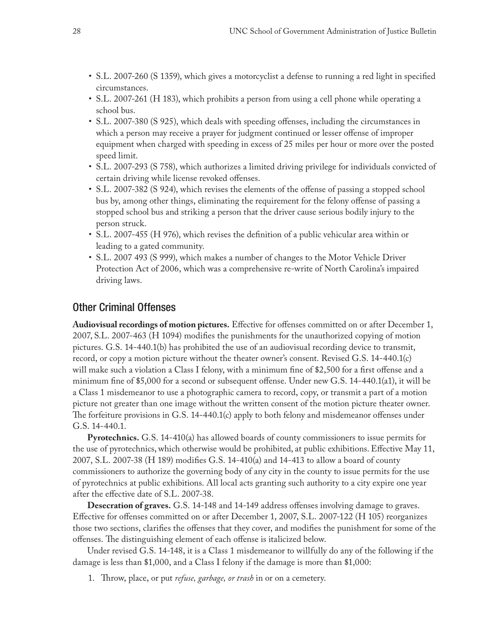- S.L. 2007-260 (S 1359), which gives a motorcyclist a defense to running a red light in specified circumstances.
- S.L. 2007-261 (H 183), which prohibits a person from using a cell phone while operating a school bus.
- S.L. 2007-380 (S 925), which deals with speeding offenses, including the circumstances in which a person may receive a prayer for judgment continued or lesser offense of improper equipment when charged with speeding in excess of 25 miles per hour or more over the posted speed limit.
- S.L. 2007-293 (S 758), which authorizes a limited driving privilege for individuals convicted of certain driving while license revoked offenses.
- S.L. 2007-382 (S 924), which revises the elements of the offense of passing a stopped school bus by, among other things, eliminating the requirement for the felony offense of passing a stopped school bus and striking a person that the driver cause serious bodily injury to the person struck.
- S.L. 2007-455 (H 976), which revises the definition of a public vehicular area within or leading to a gated community.
- • S.L. 2007 493 (S 999), which makes a number of changes to the Motor Vehicle Driver Protection Act of 2006, which was a comprehensive re-write of North Carolina's impaired driving laws.

#### Other Criminal Offenses

**Audiovisual recordings of motion pictures.** Effective for offenses committed on or after December 1, 2007, S.L. 2007-463 (H 1094) modifies the punishments for the unauthorized copying of motion pictures. G.S. 14-440.1(b) has prohibited the use of an audiovisual recording device to transmit, record, or copy a motion picture without the theater owner's consent. Revised G.S. 14-440.1(c) will make such a violation a Class I felony, with a minimum fine of \$2,500 for a first offense and a minimum fine of \$5,000 for a second or subsequent offense. Under new G.S. 14-440.1(a1), it will be a Class 1 misdemeanor to use a photographic camera to record, copy, or transmit a part of a motion picture not greater than one image without the written consent of the motion picture theater owner. The forfeiture provisions in G.S. 14-440.1(c) apply to both felony and misdemeanor offenses under G.S. 14-440.1.

**Pyrotechnics.** G.S. 14-410(a) has allowed boards of county commissioners to issue permits for the use of pyrotechnics, which otherwise would be prohibited, at public exhibitions. Effective May 11, 2007, S.L. 2007-38 (H 189) modifies G.S. 14-410(a) and 14-413 to allow a board of county commissioners to authorize the governing body of any city in the county to issue permits for the use of pyrotechnics at public exhibitions. All local acts granting such authority to a city expire one year after the effective date of S.L. 2007-38.

**Desecration of graves.** G.S. 14-148 and 14-149 address offenses involving damage to graves. Effective for offenses committed on or after December 1, 2007, S.L. 2007-122 (H 105) reorganizes those two sections, clarifies the offenses that they cover, and modifies the punishment for some of the offenses. The distinguishing element of each offense is italicized below.

Under revised G.S. 14-148, it is a Class 1 misdemeanor to willfully do any of the following if the damage is less than \$1,000, and a Class I felony if the damage is more than \$1,000:

1. Throw, place, or put *refuse, garbage, or trash* in or on a cemetery.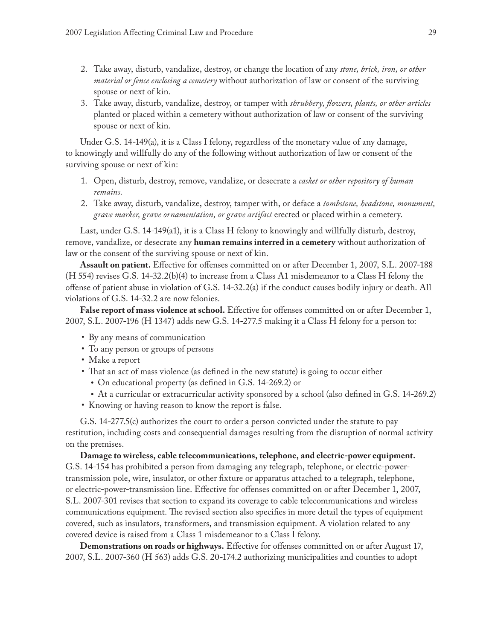- 2. Take away, disturb, vandalize, destroy, or change the location of any *stone, brick, iron, or other material or fence enclosing a cemetery* without authorization of law or consent of the surviving spouse or next of kin.
- 3. Take away, disturb, vandalize, destroy, or tamper with *shrubbery, flowers, plants, or other articles* planted or placed within a cemetery without authorization of law or consent of the surviving spouse or next of kin.

Under G.S. 14-149(a), it is a Class I felony, regardless of the monetary value of any damage, to knowingly and willfully do any of the following without authorization of law or consent of the surviving spouse or next of kin:

- 1. Open, disturb, destroy, remove, vandalize, or desecrate a *casket or other repository of human remains*.
- 2. Take away, disturb, vandalize, destroy, tamper with, or deface a *tombstone, headstone, monument, grave marker, grave ornamentation, or grave artifact* erected or placed within a cemetery.

Last, under G.S. 14-149(a1), it is a Class H felony to knowingly and willfully disturb, destroy, remove, vandalize, or desecrate any **human remains interred in a cemetery** without authorization of law or the consent of the surviving spouse or next of kin.

**Assault on patient.** Effective for offenses committed on or after December 1, 2007, S.L. 2007-188 (H 554) revises G.S. 14-32.2(b)(4) to increase from a Class A1 misdemeanor to a Class H felony the offense of patient abuse in violation of G.S. 14-32.2(a) if the conduct causes bodily injury or death. All violations of G.S. 14-32.2 are now felonies.

**False report of mass violence at school.** Effective for offenses committed on or after December 1, 2007, S.L. 2007-196 (H 1347) adds new G.S. 14-277.5 making it a Class H felony for a person to:

- • By any means of communication
- To any person or groups of persons
- Make a report
- That an act of mass violence (as defined in the new statute) is going to occur either
	- On educational property (as defined in G.S. 14-269.2) or
	- • At a curricular or extracurricular activity sponsored by a school (also defined in G.S. 14-269.2)
- Knowing or having reason to know the report is false.

G.S. 14-277.5(c) authorizes the court to order a person convicted under the statute to pay restitution, including costs and consequential damages resulting from the disruption of normal activity on the premises.

**Damage to wireless, cable telecommunications, telephone, and electric-power equipment.** G.S. 14-154 has prohibited a person from damaging any telegraph, telephone, or electric-powertransmission pole, wire, insulator, or other fixture or apparatus attached to a telegraph, telephone, or electric-power-transmission line. Effective for offenses committed on or after December 1, 2007, S.L. 2007-301 revises that section to expand its coverage to cable telecommunications and wireless communications equipment. The revised section also specifies in more detail the types of equipment covered, such as insulators, transformers, and transmission equipment. A violation related to any covered device is raised from a Class 1 misdemeanor to a Class I felony.

**Demonstrations on roads or highways.** Effective for offenses committed on or after August 17, 2007, S.L. 2007-360 (H 563) adds G.S. 20-174.2 authorizing municipalities and counties to adopt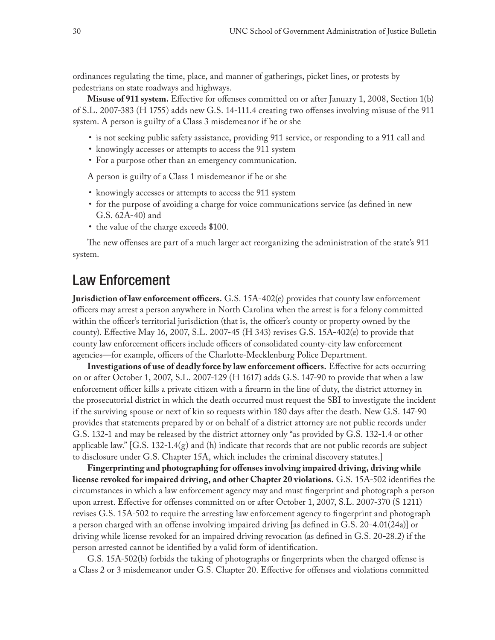ordinances regulating the time, place, and manner of gatherings, picket lines, or protests by pedestrians on state roadways and highways.

**Misuse of 911 system.** Effective for offenses committed on or after January 1, 2008, Section 1(b) of S.L. 2007-383 (H 1755) adds new G.S. 14-111.4 creating two offenses involving misuse of the 911 system. A person is guilty of a Class 3 misdemeanor if he or she

- is not seeking public safety assistance, providing 911 service, or responding to a 911 call and
- knowingly accesses or attempts to access the 911 system
- For a purpose other than an emergency communication.

A person is guilty of a Class 1 misdemeanor if he or she

- knowingly accesses or attempts to access the 911 system
- for the purpose of avoiding a charge for voice communications service (as defined in new G.S. 62A-40) and
- the value of the charge exceeds \$100.

The new offenses are part of a much larger act reorganizing the administration of the state's 911 system.

## Law Enforcement

**Jurisdiction of law enforcement officers.** G.S. 15A-402(e) provides that county law enforcement officers may arrest a person anywhere in North Carolina when the arrest is for a felony committed within the officer's territorial jurisdiction (that is, the officer's county or property owned by the county). Effective May 16, 2007, S.L. 2007-45 (H 343) revises G.S. 15A-402(e) to provide that county law enforcement officers include officers of consolidated county-city law enforcement agencies—for example, officers of the Charlotte-Mecklenburg Police Department.

**Investigations of use of deadly force by law enforcement officers.** Effective for acts occurring on or after October 1, 2007, S.L. 2007-129 (H 1617) adds G.S. 147-90 to provide that when a law enforcement officer kills a private citizen with a firearm in the line of duty, the district attorney in the prosecutorial district in which the death occurred must request the SBI to investigate the incident if the surviving spouse or next of kin so requests within 180 days after the death. New G.S. 147-90 provides that statements prepared by or on behalf of a district attorney are not public records under G.S. 132-1 and may be released by the district attorney only "as provided by G.S. 132-1.4 or other applicable law." [G.S. 132-1.4(g) and (h) indicate that records that are not public records are subject to disclosure under G.S. Chapter 15A, which includes the criminal discovery statutes.]

**Fingerprinting and photographing for offenses involving impaired driving, driving while license revoked for impaired driving, and other Chapter 20 violations.** G.S. 15A-502 identifies the circumstances in which a law enforcement agency may and must fingerprint and photograph a person upon arrest. Effective for offenses committed on or after October 1, 2007, S.L. 2007-370 (S 1211) revises G.S. 15A-502 to require the arresting law enforcement agency to fingerprint and photograph a person charged with an offense involving impaired driving [as defined in G.S. 20-4.01(24a)] or driving while license revoked for an impaired driving revocation (as defined in G.S. 20-28.2) if the person arrested cannot be identified by a valid form of identification.

G.S. 15A-502(b) forbids the taking of photographs or fingerprints when the charged offense is a Class 2 or 3 misdemeanor under G.S. Chapter 20. Effective for offenses and violations committed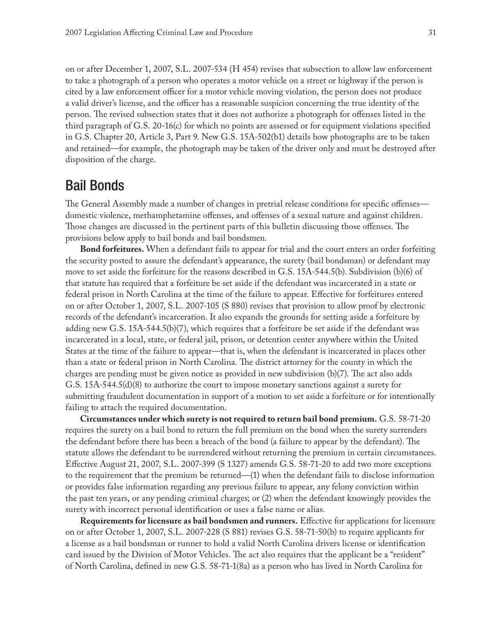on or after December 1, 2007, S.L. 2007-534 (H 454) revises that subsection to allow law enforcement to take a photograph of a person who operates a motor vehicle on a street or highway if the person is cited by a law enforcement officer for a motor vehicle moving violation, the person does not produce a valid driver's license, and the officer has a reasonable suspicion concerning the true identity of the person. The revised subsection states that it does not authorize a photograph for offenses listed in the third paragraph of G.S. 20-16(c) for which no points are assessed or for equipment violations specified in G.S. Chapter 20, Article 3, Part 9. New G.S. 15A-502(b1) details how photographs are to be taken and retained—for example, the photograph may be taken of the driver only and must be destroyed after disposition of the charge.

## Bail Bonds

The General Assembly made a number of changes in pretrial release conditions for specific offenses domestic violence, methamphetamine offenses, and offenses of a sexual nature and against children. Those changes are discussed in the pertinent parts of this bulletin discussing those offenses. The provisions below apply to bail bonds and bail bondsmen.

**Bond forfeitures.** When a defendant fails to appear for trial and the court enters an order forfeiting the security posted to assure the defendant's appearance, the surety (bail bondsman) or defendant may move to set aside the forfeiture for the reasons described in G.S. 15A-544.5(b). Subdivision (b)(6) of that statute has required that a forfeiture be set aside if the defendant was incarcerated in a state or federal prison in North Carolina at the time of the failure to appear. Effective for forfeitures entered on or after October 1, 2007, S.L. 2007-105 (S 880) revises that provision to allow proof by electronic records of the defendant's incarceration. It also expands the grounds for setting aside a forfeiture by adding new G.S. 15A-544.5(b)(7), which requires that a forfeiture be set aside if the defendant was incarcerated in a local, state, or federal jail, prison, or detention center anywhere within the United States at the time of the failure to appear—that is, when the defendant is incarcerated in places other than a state or federal prison in North Carolina. The district attorney for the county in which the charges are pending must be given notice as provided in new subdivision (b)(7). The act also adds G.S. 15A-544.5(d)(8) to authorize the court to impose monetary sanctions against a surety for submitting fraudulent documentation in support of a motion to set aside a forfeiture or for intentionally failing to attach the required documentation.

**Circumstances under which surety is not required to return bail bond premium.** G.S. 58-71-20 requires the surety on a bail bond to return the full premium on the bond when the surety surrenders the defendant before there has been a breach of the bond (a failure to appear by the defendant). The statute allows the defendant to be surrendered without returning the premium in certain circumstances. Effective August 21, 2007, S.L. 2007-399 (S 1327) amends G.S. 58-71-20 to add two more exceptions to the requirement that the premium be returned—(1) when the defendant fails to disclose information or provides false information regarding any previous failure to appear, any felony conviction within the past ten years, or any pending criminal charges; or (2) when the defendant knowingly provides the surety with incorrect personal identification or uses a false name or alias.

**Requirements for licensure as bail bondsmen and runners.** Effective for applications for licensure on or after October 1, 2007, S.L. 2007-228 (S 881) revises G.S. 58-71-50(b) to require applicants for a license as a bail bondsman or runner to hold a valid North Carolina drivers license or identification card issued by the Division of Motor Vehicles. The act also requires that the applicant be a "resident" of North Carolina, defined in new G.S. 58-71-1(8a) as a person who has lived in North Carolina for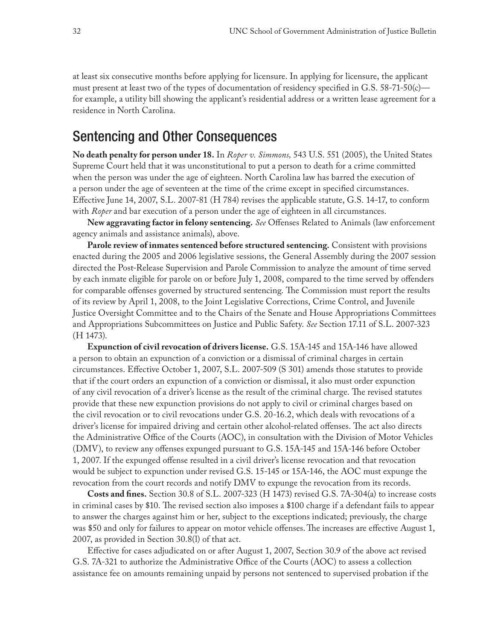at least six consecutive months before applying for licensure. In applying for licensure, the applicant must present at least two of the types of documentation of residency specified in G.S. 58-71-50(c) for example, a utility bill showing the applicant's residential address or a written lease agreement for a residence in North Carolina.

## Sentencing and Other Consequences

**No death penalty for person under 18.** In *Roper v. Simmons,* 543 U.S. 551 (2005), the United States Supreme Court held that it was unconstitutional to put a person to death for a crime committed when the person was under the age of eighteen. North Carolina law has barred the execution of a person under the age of seventeen at the time of the crime except in specified circumstances. Effective June 14, 2007, S.L. 2007-81 (H 784) revises the applicable statute, G.S. 14-17, to conform with *Roper* and bar execution of a person under the age of eighteen in all circumstances.

**New aggravating factor in felony sentencing.** *See* Offenses Related to Animals (law enforcement agency animals and assistance animals), above.

**Parole review of inmates sentenced before structured sentencing.** Consistent with provisions enacted during the 2005 and 2006 legislative sessions, the General Assembly during the 2007 session directed the Post-Release Supervision and Parole Commission to analyze the amount of time served by each inmate eligible for parole on or before July 1, 2008, compared to the time served by offenders for comparable offenses governed by structured sentencing. The Commission must report the results of its review by April 1, 2008, to the Joint Legislative Corrections, Crime Control, and Juvenile Justice Oversight Committee and to the Chairs of the Senate and House Appropriations Committees and Appropriations Subcommittees on Justice and Public Safety. *See* Section 17.11 of S.L. 2007-323 (H 1473).

**Expunction of civil revocation of drivers license.** G.S. 15A-145 and 15A-146 have allowed a person to obtain an expunction of a conviction or a dismissal of criminal charges in certain circumstances. Effective October 1, 2007, S.L. 2007-509 (S 301) amends those statutes to provide that if the court orders an expunction of a conviction or dismissal, it also must order expunction of any civil revocation of a driver's license as the result of the criminal charge. The revised statutes provide that these new expunction provisions do not apply to civil or criminal charges based on the civil revocation or to civil revocations under G.S. 20-16.2, which deals with revocations of a driver's license for impaired driving and certain other alcohol-related offenses. The act also directs the Administrative Office of the Courts (AOC), in consultation with the Division of Motor Vehicles (DMV), to review any offenses expunged pursuant to G.S. 15A-145 and 15A-146 before October 1, 2007. If the expunged offense resulted in a civil driver's license revocation and that revocation would be subject to expunction under revised G.S. 15-145 or 15A-146, the AOC must expunge the revocation from the court records and notify DMV to expunge the revocation from its records.

**Costs and fines.** Section 30.8 of S.L. 2007-323 (H 1473) revised G.S. 7A-304(a) to increase costs in criminal cases by \$10. The revised section also imposes a \$100 charge if a defendant fails to appear to answer the charges against him or her, subject to the exceptions indicated; previously, the charge was \$50 and only for failures to appear on motor vehicle offenses. The increases are effective August 1, 2007, as provided in Section 30.8(l) of that act.

Effective for cases adjudicated on or after August 1, 2007, Section 30.9 of the above act revised G.S. 7A-321 to authorize the Administrative Office of the Courts (AOC) to assess a collection assistance fee on amounts remaining unpaid by persons not sentenced to supervised probation if the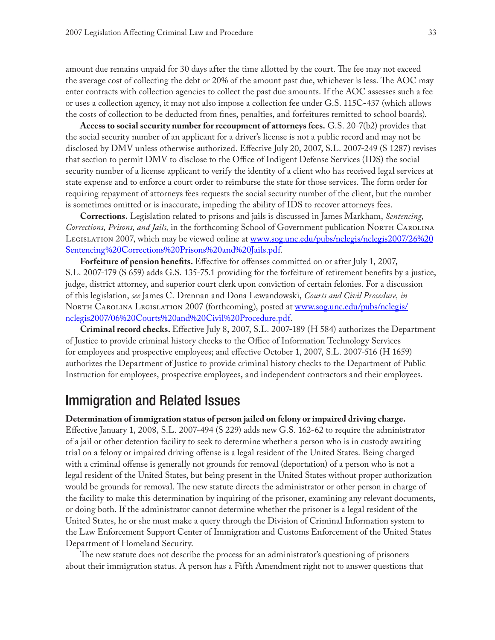amount due remains unpaid for 30 days after the time allotted by the court. The fee may not exceed the average cost of collecting the debt or 20% of the amount past due, whichever is less. The AOC may enter contracts with collection agencies to collect the past due amounts. If the AOC assesses such a fee or uses a collection agency, it may not also impose a collection fee under G.S. 115C-437 (which allows the costs of collection to be deducted from fines, penalties, and forfeitures remitted to school boards).

**Access to social security number for recoupment of attorneys fees.** G.S. 20-7(b2) provides that the social security number of an applicant for a driver's license is not a public record and may not be disclosed by DMV unless otherwise authorized. Effective July 20, 2007, S.L. 2007-249 (S 1287) revises that section to permit DMV to disclose to the Office of Indigent Defense Services (IDS) the social security number of a license applicant to verify the identity of a client who has received legal services at state expense and to enforce a court order to reimburse the state for those services. The form order for requiring repayment of attorneys fees requests the social security number of the client, but the number is sometimes omitted or is inaccurate, impeding the ability of IDS to recover attorneys fees.

**Corrections.** Legislation related to prisons and jails is discussed in James Markham, *Sentencing, Corrections, Prisons, and Jails,* in the forthcoming School of Government publication NORTH CAROLINA Legislation 2007, which may be viewed online at [www.sog.unc.edu/pubs/nclegis/nclegis2007/26%20](http://www.sog.unc.edu/pubs/nclegis/nclegis2007/26 Sentencing Corrections Prisons and Jails.pdf) [Sentencing%20Corrections%20Prisons%20and%20Jails.pdf.](http://www.sog.unc.edu/pubs/nclegis/nclegis2007/26 Sentencing Corrections Prisons and Jails.pdf)

**Forfeiture of pension benefits.** Effective for offenses committed on or after July 1, 2007, S.L. 2007-179 (S 659) adds G.S. 135-75.1 providing for the forfeiture of retirement benefits by a justice, judge, district attorney, and superior court clerk upon conviction of certain felonies. For a discussion of this legislation, *see* James C. Drennan and Dona Lewandowski, *Courts and Civil Procedure, in* NORTH CAROLINA LEGISLATION 2007 (forthcoming), posted at [www.sog.unc.edu/pubs/nclegis/](http://www.sog.unc.edu/pubs/nclegis/nclegis2007/06 Courts and Civil Procedure.pdf) [nclegis2007/06%20Courts%20and%20Civil%20Procedure.pdf](http://www.sog.unc.edu/pubs/nclegis/nclegis2007/06 Courts and Civil Procedure.pdf).

**Criminal record checks.** Effective July 8, 2007, S.L. 2007-189 (H 584) authorizes the Department of Justice to provide criminal history checks to the Office of Information Technology Services for employees and prospective employees; and effective October 1, 2007, S.L. 2007-516 (H 1659) authorizes the Department of Justice to provide criminal history checks to the Department of Public Instruction for employees, prospective employees, and independent contractors and their employees.

## Immigration and Related Issues

**Determination of immigration status of person jailed on felony or impaired driving charge.**  Effective January 1, 2008, S.L. 2007-494 (S 229) adds new G.S. 162-62 to require the administrator of a jail or other detention facility to seek to determine whether a person who is in custody awaiting trial on a felony or impaired driving offense is a legal resident of the United States. Being charged with a criminal offense is generally not grounds for removal (deportation) of a person who is not a legal resident of the United States, but being present in the United States without proper authorization would be grounds for removal. The new statute directs the administrator or other person in charge of the facility to make this determination by inquiring of the prisoner, examining any relevant documents, or doing both. If the administrator cannot determine whether the prisoner is a legal resident of the United States, he or she must make a query through the Division of Criminal Information system to the Law Enforcement Support Center of Immigration and Customs Enforcement of the United States Department of Homeland Security.

The new statute does not describe the process for an administrator's questioning of prisoners about their immigration status. A person has a Fifth Amendment right not to answer questions that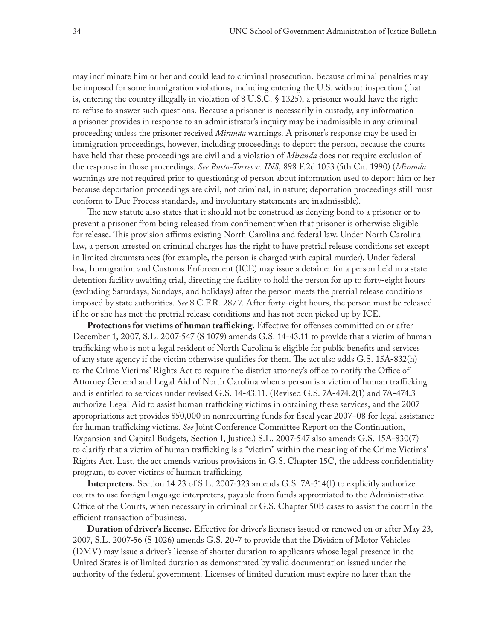may incriminate him or her and could lead to criminal prosecution. Because criminal penalties may be imposed for some immigration violations, including entering the U.S. without inspection (that is, entering the country illegally in violation of 8 U.S.C. § 1325), a prisoner would have the right to refuse to answer such questions. Because a prisoner is necessarily in custody, any information a prisoner provides in response to an administrator's inquiry may be inadmissible in any criminal proceeding unless the prisoner received *Miranda* warnings. A prisoner's response may be used in immigration proceedings, however, including proceedings to deport the person, because the courts have held that these proceedings are civil and a violation of *Miranda* does not require exclusion of the response in those proceedings. *See Busto-Torres v. INS,* 898 F.2d 1053 (5th Cir. 1990) (*Miranda* warnings are not required prior to questioning of person about information used to deport him or her because deportation proceedings are civil, not criminal, in nature; deportation proceedings still must conform to Due Process standards, and involuntary statements are inadmissible).

The new statute also states that it should not be construed as denying bond to a prisoner or to prevent a prisoner from being released from confinement when that prisoner is otherwise eligible for release. This provision affirms existing North Carolina and federal law. Under North Carolina law, a person arrested on criminal charges has the right to have pretrial release conditions set except in limited circumstances (for example, the person is charged with capital murder). Under federal law, Immigration and Customs Enforcement (ICE) may issue a detainer for a person held in a state detention facility awaiting trial, directing the facility to hold the person for up to forty-eight hours (excluding Saturdays, Sundays, and holidays) after the person meets the pretrial release conditions imposed by state authorities. *See* 8 C.F.R. 287.7. After forty-eight hours, the person must be released if he or she has met the pretrial release conditions and has not been picked up by ICE.

**Protections for victims of human trafficking.** Effective for offenses committed on or after December 1, 2007, S.L. 2007-547 (S 1079) amends G.S. 14-43.11 to provide that a victim of human trafficking who is not a legal resident of North Carolina is eligible for public benefits and services of any state agency if the victim otherwise qualifies for them. The act also adds G.S. 15A-832(h) to the Crime Victims' Rights Act to require the district attorney's office to notify the Office of Attorney General and Legal Aid of North Carolina when a person is a victim of human trafficking and is entitled to services under revised G.S. 14-43.11. (Revised G.S. 7A-474.2(1) and 7A-474.3 authorize Legal Aid to assist human trafficking victims in obtaining these services, and the 2007 appropriations act provides \$50,000 in nonrecurring funds for fiscal year 2007–08 for legal assistance for human trafficking victims. *See* Joint Conference Committee Report on the Continuation, Expansion and Capital Budgets, Section I, Justice.) S.L. 2007-547 also amends G.S. 15A-830(7) to clarify that a victim of human trafficking is a "victim" within the meaning of the Crime Victims' Rights Act. Last, the act amends various provisions in G.S. Chapter 15C, the address confidentiality program, to cover victims of human trafficking.

**Interpreters.** Section 14.23 of S.L. 2007-323 amends G.S. 7A-314(f) to explicitly authorize courts to use foreign language interpreters, payable from funds appropriated to the Administrative Office of the Courts, when necessary in criminal or G.S. Chapter 50B cases to assist the court in the efficient transaction of business.

**Duration of driver's license.** Effective for driver's licenses issued or renewed on or after May 23, 2007, S.L. 2007-56 (S 1026) amends G.S. 20-7 to provide that the Division of Motor Vehicles (DMV) may issue a driver's license of shorter duration to applicants whose legal presence in the United States is of limited duration as demonstrated by valid documentation issued under the authority of the federal government. Licenses of limited duration must expire no later than the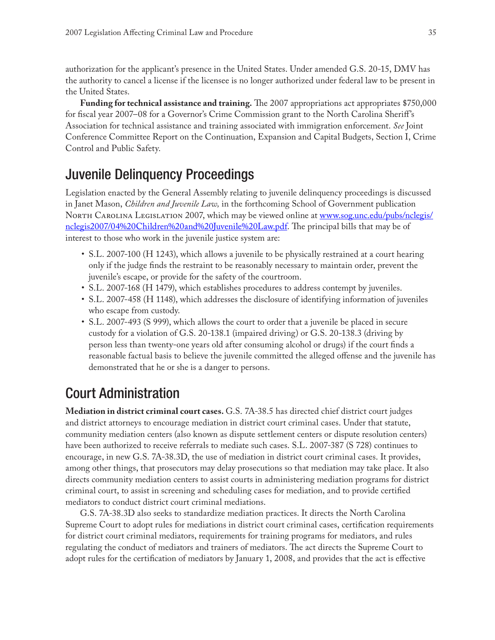authorization for the applicant's presence in the United States. Under amended G.S. 20-15, DMV has the authority to cancel a license if the licensee is no longer authorized under federal law to be present in the United States.

**Funding for technical assistance and training.** The 2007 appropriations act appropriates \$750,000 for fiscal year 2007–08 for a Governor's Crime Commission grant to the North Carolina Sheriff's Association for technical assistance and training associated with immigration enforcement. *See* Joint Conference Committee Report on the Continuation, Expansion and Capital Budgets, Section I, Crime Control and Public Safety.

## Juvenile Delinquency Proceedings

Legislation enacted by the General Assembly relating to juvenile delinquency proceedings is discussed in Janet Mason, *Children and Juvenile Law,* in the forthcoming School of Government publication North Carolina Legislation 2007, which may be viewed online at <u>[www.sog.unc.edu/pubs/nclegis/](http://www.sog.unc.edu/pubs/nclegis/nclegis2007/04 Children and Juvenile Law.pdf)</u> [nclegis2007/04%20Children%20and%20Juvenile%20Law.pdf](http://www.sog.unc.edu/pubs/nclegis/nclegis2007/04 Children and Juvenile Law.pdf). The principal bills that may be of interest to those who work in the juvenile justice system are:

- S.L. 2007-100 (H 1243), which allows a juvenile to be physically restrained at a court hearing only if the judge finds the restraint to be reasonably necessary to maintain order, prevent the juvenile's escape, or provide for the safety of the courtroom.
- S.L. 2007-168 (H 1479), which establishes procedures to address contempt by juveniles.
- S.L. 2007-458 (H 1148), which addresses the disclosure of identifying information of juveniles who escape from custody.
- S.L. 2007-493 (S 999), which allows the court to order that a juvenile be placed in secure custody for a violation of G.S. 20-138.1 (impaired driving) or G.S. 20-138.3 (driving by person less than twenty-one years old after consuming alcohol or drugs) if the court finds a reasonable factual basis to believe the juvenile committed the alleged offense and the juvenile has demonstrated that he or she is a danger to persons.

## Court Administration

**Mediation in district criminal court cases.** G.S. 7A-38.5 has directed chief district court judges and district attorneys to encourage mediation in district court criminal cases. Under that statute, community mediation centers (also known as dispute settlement centers or dispute resolution centers) have been authorized to receive referrals to mediate such cases. S.L. 2007-387 (S 728) continues to encourage, in new G.S. 7A-38.3D, the use of mediation in district court criminal cases. It provides, among other things, that prosecutors may delay prosecutions so that mediation may take place. It also directs community mediation centers to assist courts in administering mediation programs for district criminal court, to assist in screening and scheduling cases for mediation, and to provide certified mediators to conduct district court criminal mediations.

G.S. 7A-38.3D also seeks to standardize mediation practices. It directs the North Carolina Supreme Court to adopt rules for mediations in district court criminal cases, certification requirements for district court criminal mediators, requirements for training programs for mediators, and rules regulating the conduct of mediators and trainers of mediators. The act directs the Supreme Court to adopt rules for the certification of mediators by January 1, 2008, and provides that the act is effective